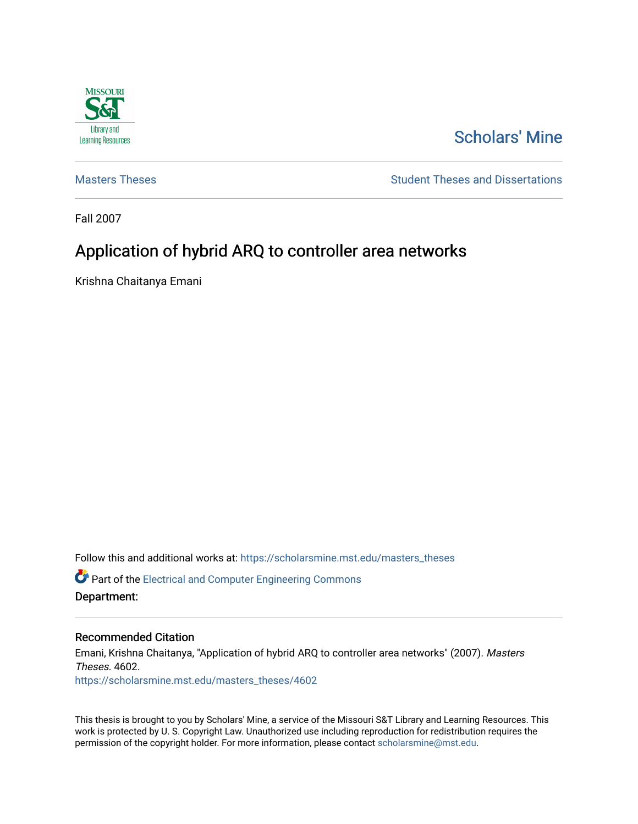

# [Scholars' Mine](https://scholarsmine.mst.edu/)

[Masters Theses](https://scholarsmine.mst.edu/masters_theses) **Student Theses and Dissertations** Student Theses and Dissertations

Fall 2007

# Application of hybrid ARQ to controller area networks

Krishna Chaitanya Emani

Follow this and additional works at: [https://scholarsmine.mst.edu/masters\\_theses](https://scholarsmine.mst.edu/masters_theses?utm_source=scholarsmine.mst.edu%2Fmasters_theses%2F4602&utm_medium=PDF&utm_campaign=PDFCoverPages) 

**C** Part of the Electrical and Computer Engineering Commons

Department:

#### Recommended Citation

Emani, Krishna Chaitanya, "Application of hybrid ARQ to controller area networks" (2007). Masters Theses. 4602. [https://scholarsmine.mst.edu/masters\\_theses/4602](https://scholarsmine.mst.edu/masters_theses/4602?utm_source=scholarsmine.mst.edu%2Fmasters_theses%2F4602&utm_medium=PDF&utm_campaign=PDFCoverPages) 

This thesis is brought to you by Scholars' Mine, a service of the Missouri S&T Library and Learning Resources. This work is protected by U. S. Copyright Law. Unauthorized use including reproduction for redistribution requires the permission of the copyright holder. For more information, please contact [scholarsmine@mst.edu](mailto:scholarsmine@mst.edu).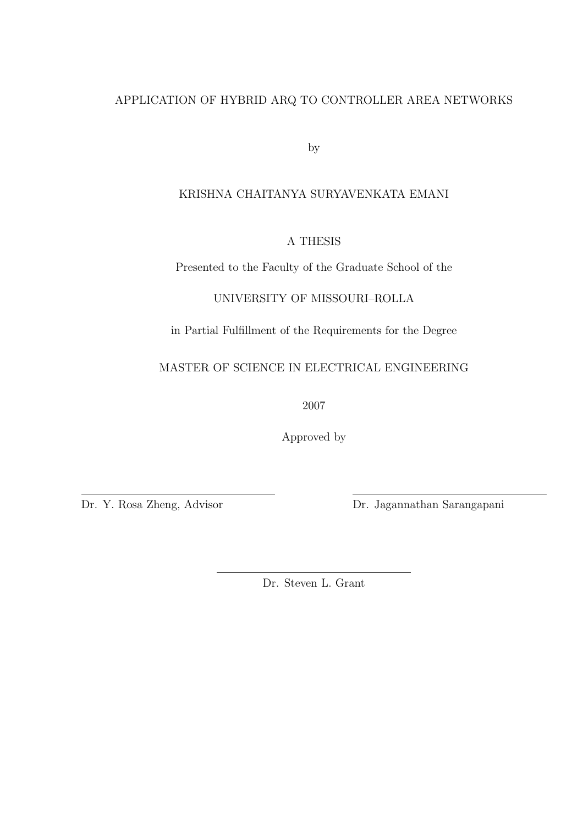### APPLICATION OF HYBRID ARQ TO CONTROLLER AREA NETWORKS

by

### KRISHNA CHAITANYA SURYAVENKATA EMANI

A THESIS

Presented to the Faculty of the Graduate School of the

### UNIVERSITY OF MISSOURI–ROLLA

in Partial Fulfillment of the Requirements for the Degree

MASTER OF SCIENCE IN ELECTRICAL ENGINEERING

2007

Approved by

Dr. Y. Rosa Zheng, Advisor Dr. Jagannathan Sarangapani

Dr. Steven L. Grant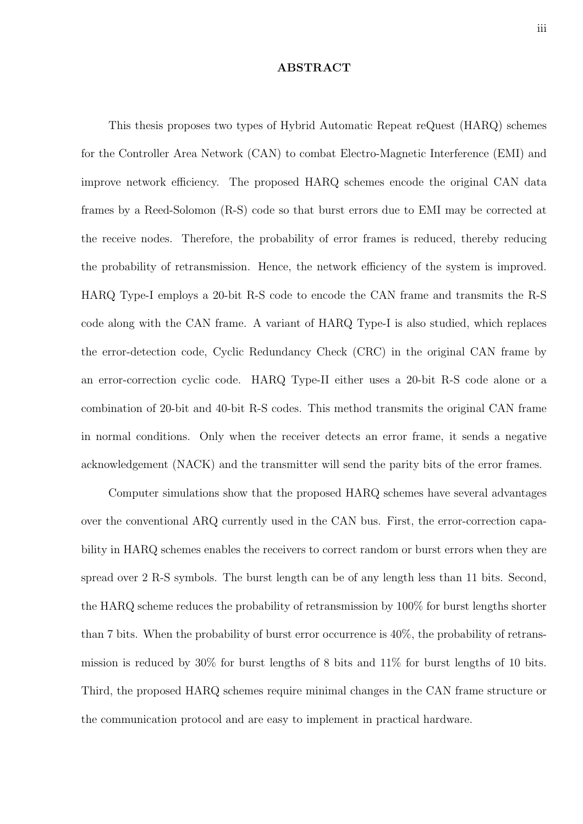#### ABSTRACT

This thesis proposes two types of Hybrid Automatic Repeat reQuest (HARQ) schemes for the Controller Area Network (CAN) to combat Electro-Magnetic Interference (EMI) and improve network efficiency. The proposed HARQ schemes encode the original CAN data frames by a Reed-Solomon (R-S) code so that burst errors due to EMI may be corrected at the receive nodes. Therefore, the probability of error frames is reduced, thereby reducing the probability of retransmission. Hence, the network efficiency of the system is improved. HARQ Type-I employs a 20-bit R-S code to encode the CAN frame and transmits the R-S code along with the CAN frame. A variant of HARQ Type-I is also studied, which replaces the error-detection code, Cyclic Redundancy Check (CRC) in the original CAN frame by an error-correction cyclic code. HARQ Type-II either uses a 20-bit R-S code alone or a combination of 20-bit and 40-bit R-S codes. This method transmits the original CAN frame in normal conditions. Only when the receiver detects an error frame, it sends a negative acknowledgement (NACK) and the transmitter will send the parity bits of the error frames.

Computer simulations show that the proposed HARQ schemes have several advantages over the conventional ARQ currently used in the CAN bus. First, the error-correction capability in HARQ schemes enables the receivers to correct random or burst errors when they are spread over 2 R-S symbols. The burst length can be of any length less than 11 bits. Second, the HARQ scheme reduces the probability of retransmission by 100% for burst lengths shorter than 7 bits. When the probability of burst error occurrence is 40%, the probability of retransmission is reduced by 30% for burst lengths of 8 bits and 11% for burst lengths of 10 bits. Third, the proposed HARQ schemes require minimal changes in the CAN frame structure or the communication protocol and are easy to implement in practical hardware.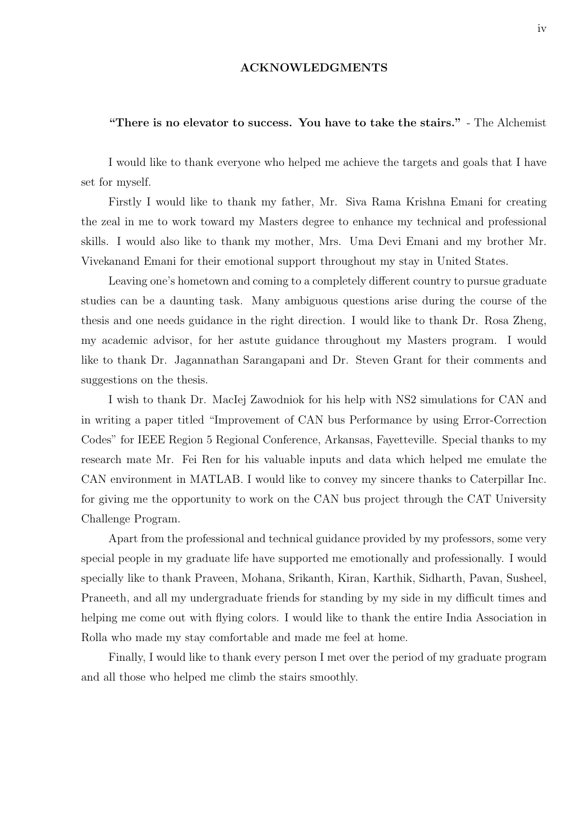#### ACKNOWLEDGMENTS

#### "There is no elevator to success. You have to take the stairs." - The Alchemist

I would like to thank everyone who helped me achieve the targets and goals that I have set for myself.

Firstly I would like to thank my father, Mr. Siva Rama Krishna Emani for creating the zeal in me to work toward my Masters degree to enhance my technical and professional skills. I would also like to thank my mother, Mrs. Uma Devi Emani and my brother Mr. Vivekanand Emani for their emotional support throughout my stay in United States.

Leaving one's hometown and coming to a completely different country to pursue graduate studies can be a daunting task. Many ambiguous questions arise during the course of the thesis and one needs guidance in the right direction. I would like to thank Dr. Rosa Zheng, my academic advisor, for her astute guidance throughout my Masters program. I would like to thank Dr. Jagannathan Sarangapani and Dr. Steven Grant for their comments and suggestions on the thesis.

I wish to thank Dr. MacIej Zawodniok for his help with NS2 simulations for CAN and in writing a paper titled "Improvement of CAN bus Performance by using Error-Correction Codes" for IEEE Region 5 Regional Conference, Arkansas, Fayetteville. Special thanks to my research mate Mr. Fei Ren for his valuable inputs and data which helped me emulate the CAN environment in MATLAB. I would like to convey my sincere thanks to Caterpillar Inc. for giving me the opportunity to work on the CAN bus project through the CAT University Challenge Program.

Apart from the professional and technical guidance provided by my professors, some very special people in my graduate life have supported me emotionally and professionally. I would specially like to thank Praveen, Mohana, Srikanth, Kiran, Karthik, Sidharth, Pavan, Susheel, Praneeth, and all my undergraduate friends for standing by my side in my difficult times and helping me come out with flying colors. I would like to thank the entire India Association in Rolla who made my stay comfortable and made me feel at home.

Finally, I would like to thank every person I met over the period of my graduate program and all those who helped me climb the stairs smoothly.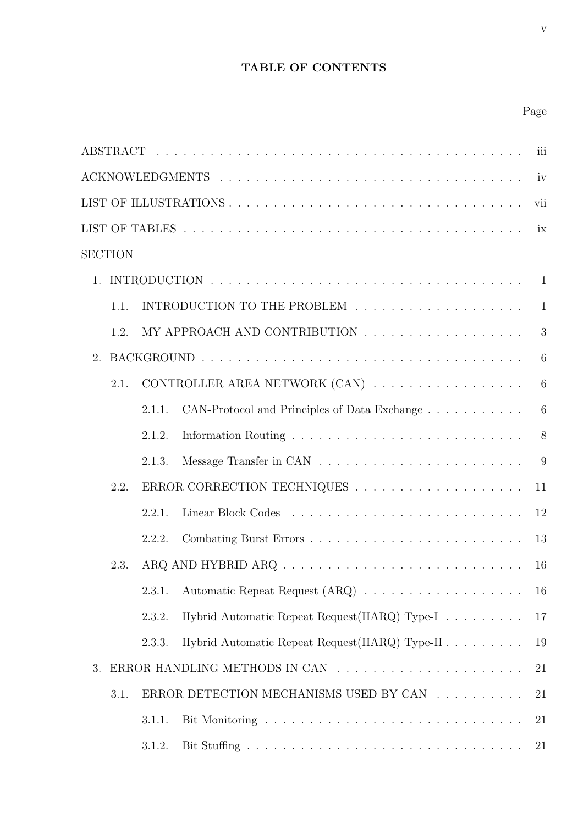### TABLE OF CONTENTS

### Page

|    |                |        |                                                                                               | iii             |
|----|----------------|--------|-----------------------------------------------------------------------------------------------|-----------------|
|    |                |        |                                                                                               | iv              |
|    |                |        |                                                                                               | vii             |
|    |                |        |                                                                                               |                 |
|    | <b>SECTION</b> |        |                                                                                               |                 |
| 1. |                |        |                                                                                               |                 |
|    | 1.1.           |        |                                                                                               |                 |
|    | 1.2.           |        |                                                                                               | $\mathbf{3}$    |
| 2. |                |        |                                                                                               | 6               |
|    | 2.1.           |        | CONTROLLER AREA NETWORK (CAN) $\ldots \ldots \ldots \ldots \ldots$                            | $6\phantom{.}6$ |
|    |                | 2.1.1. | CAN-Protocol and Principles of Data Exchange                                                  | $6\phantom{.}6$ |
|    |                | 2.1.2. |                                                                                               |                 |
|    |                | 2.1.3. |                                                                                               | 9               |
|    | 2.2.           |        |                                                                                               | 11              |
|    |                | 2.2.1. |                                                                                               | 12              |
|    |                | 2.2.2. |                                                                                               | 13              |
|    | 2.3.           |        | ARQ AND HYBRID ARQ $\ldots \ldots \ldots \ldots \ldots \ldots \ldots \ldots \ldots \ldots 16$ |                 |
|    |                | 2.3.1. |                                                                                               | 16              |
|    |                | 2.3.2. | Hybrid Automatic Repeat Request (HARQ) Type-I                                                 | 17              |
|    |                | 2.3.3. | Hybrid Automatic Repeat Request (HARQ) Type-II                                                | 19              |
| 3. |                |        |                                                                                               | 21              |
|    | 3.1.           |        | ERROR DETECTION MECHANISMS USED BY CAN $\ldots \ldots \ldots$                                 | 21              |
|    |                | 3.1.1. |                                                                                               | 21              |
|    |                | 3.1.2. |                                                                                               | 21              |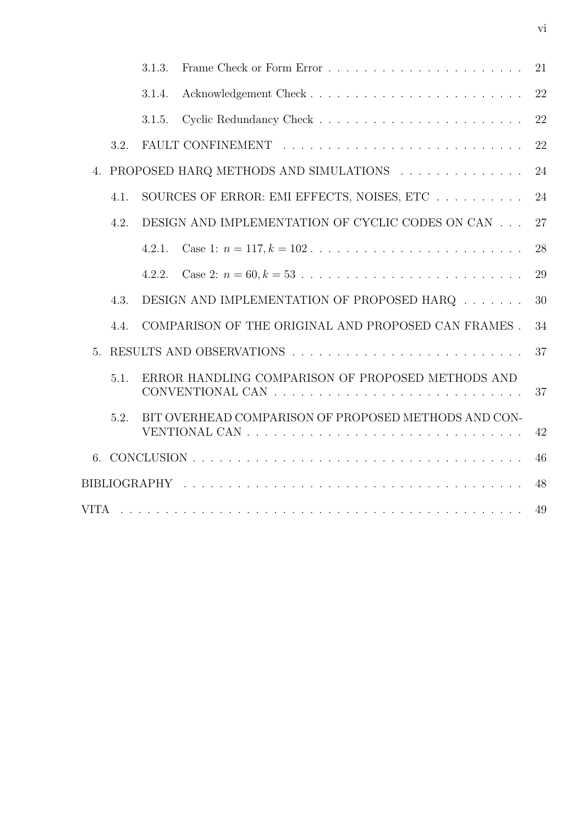|    |      | 3.1.3. |                                                      | 21 |
|----|------|--------|------------------------------------------------------|----|
|    |      | 3.1.4. |                                                      | 22 |
|    |      | 3.1.5. |                                                      | 22 |
|    | 3.2. |        |                                                      | 22 |
| 4. |      |        | PROPOSED HARQ METHODS AND SIMULATIONS                | 24 |
|    | 4.1. |        | SOURCES OF ERROR: EMI EFFECTS, NOISES, ETC           | 24 |
|    | 4.2. |        | DESIGN AND IMPLEMENTATION OF CYCLIC CODES ON CAN     | 27 |
|    |      | 4.2.1. |                                                      | 28 |
|    |      | 4.2.2. |                                                      | 29 |
|    | 4.3. |        | DESIGN AND IMPLEMENTATION OF PROPOSED HARQ           | 30 |
|    | 4.4. |        | COMPARISON OF THE ORIGINAL AND PROPOSED CAN FRAMES . | 34 |
| 5. |      |        |                                                      | 37 |
|    | 5.1. |        | ERROR HANDLING COMPARISON OF PROPOSED METHODS AND    | 37 |
|    | 5.2. |        | BIT OVERHEAD COMPARISON OF PROPOSED METHODS AND CON- | 42 |
| 6. |      |        |                                                      | 46 |
|    |      |        |                                                      | 48 |
|    |      |        |                                                      | 49 |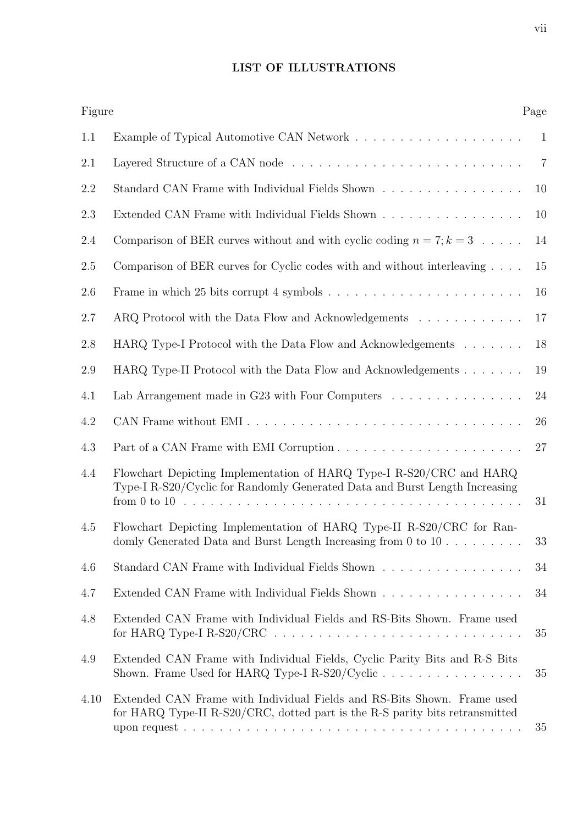### LIST OF ILLUSTRATIONS

| Figure  |                                                                                                                                                                              | Page           |
|---------|------------------------------------------------------------------------------------------------------------------------------------------------------------------------------|----------------|
| 1.1     |                                                                                                                                                                              | $\mathbf{1}$   |
| 2.1     | Layered Structure of a CAN node $\dots \dots \dots \dots \dots \dots \dots \dots \dots \dots \dots$                                                                          | $\overline{7}$ |
| 2.2     | Standard CAN Frame with Individual Fields Shown                                                                                                                              | 10             |
| 2.3     | Extended CAN Frame with Individual Fields Shown                                                                                                                              | 10             |
| 2.4     | Comparison of BER curves without and with cyclic coding $n = 7$ ; $k = 3$                                                                                                    | 14             |
| $2.5\,$ | Comparison of BER curves for Cyclic codes with and without interleaving $\ldots$ .                                                                                           | 15             |
| 2.6     |                                                                                                                                                                              | 16             |
| $2.7\,$ | ARQ Protocol with the Data Flow and Acknowledgements $\ldots \ldots \ldots \ldots$                                                                                           | 17             |
| 2.8     | HARQ Type-I Protocol with the Data Flow and Acknowledgements                                                                                                                 | 18             |
| 2.9     | HARQ Type-II Protocol with the Data Flow and Acknowledgements                                                                                                                | 19             |
| 4.1     | Lab Arrangement made in G23 with Four Computers $\ldots \ldots \ldots \ldots \ldots$                                                                                         | 24             |
| 4.2     |                                                                                                                                                                              | 26             |
| 4.3     |                                                                                                                                                                              | 27             |
| 4.4     | Flowchart Depicting Implementation of HARQ Type-I R-S20/CRC and HARQ<br>Type-I R-S20/Cyclic for Randomly Generated Data and Burst Length Increasing                          | 31             |
| 4.5     | Flowchart Depicting Implementation of HARQ Type-II R-S20/CRC for Ran-<br>domly Generated Data and Burst Length Increasing from $0$ to $10$                                   | 33             |
| 4.6     | Standard CAN Frame with Individual Fields Shown                                                                                                                              | 34             |
| 4.7     | Extended CAN Frame with Individual Fields Shown                                                                                                                              | 34             |
| 4.8     | Extended CAN Frame with Individual Fields and RS-Bits Shown. Frame used<br>for HARQ Type-I R-S20/CRC $\ldots \ldots \ldots \ldots \ldots \ldots \ldots \ldots \ldots \ldots$ | 35             |
| 4.9     | Extended CAN Frame with Individual Fields, Cyclic Parity Bits and R-S Bits<br>Shown. Frame Used for HARQ Type-I R-S20/Cyclic $\ldots \ldots \ldots \ldots \ldots$            | 35             |
| 4.10    | Extended CAN Frame with Individual Fields and RS-Bits Shown. Frame used<br>for HARQ Type-II R-S20/CRC, dotted part is the R-S parity bits retransmitted                      | 35             |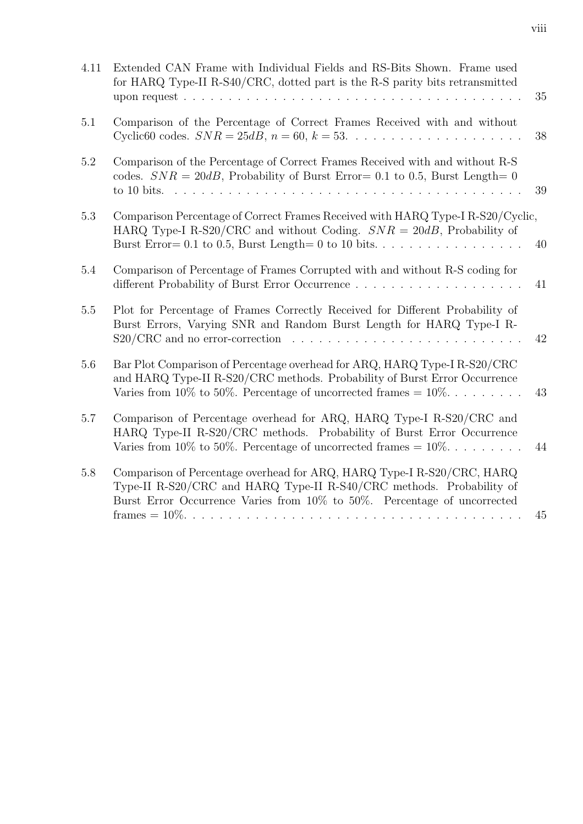| 4.11    | Extended CAN Frame with Individual Fields and RS-Bits Shown. Frame used<br>for HARQ Type-II R-S40/CRC, dotted part is the R-S parity bits retransmitted                                                                     | 35 |
|---------|-----------------------------------------------------------------------------------------------------------------------------------------------------------------------------------------------------------------------------|----|
| 5.1     | Comparison of the Percentage of Correct Frames Received with and without                                                                                                                                                    | 38 |
| $5.2\,$ | Comparison of the Percentage of Correct Frames Received with and without R-S<br>codes. $SNR = 20dB$ , Probability of Burst Error = 0.1 to 0.5, Burst Length = 0                                                             | 39 |
| 5.3     | Comparison Percentage of Correct Frames Received with HARQ Type-I R-S20/Cyclic,<br>HARQ Type-I R-S20/CRC and without Coding. $SNR = 20dB$ , Probability of                                                                  | 40 |
| 5.4     | Comparison of Percentage of Frames Corrupted with and without R-S coding for                                                                                                                                                | 41 |
| $5.5\,$ | Plot for Percentage of Frames Correctly Received for Different Probability of<br>Burst Errors, Varying SNR and Random Burst Length for HARQ Type-I R-                                                                       | 42 |
| 5.6     | Bar Plot Comparison of Percentage overhead for ARQ, HARQ Type-I R-S20/CRC<br>and HARQ Type-II R-S20/CRC methods. Probability of Burst Error Occurrence<br>Varies from 10% to 50%. Percentage of uncorrected frames = $10\%$ | 43 |
| 5.7     | Comparison of Percentage overhead for ARQ, HARQ Type-I R-S20/CRC and<br>HARQ Type-II R-S20/CRC methods. Probability of Burst Error Occurrence<br>Varies from 10% to 50%. Percentage of uncorrected frames = $10\%$          | 44 |
| $5.8\,$ | Comparison of Percentage overhead for ARQ, HARQ Type-I R-S20/CRC, HARQ<br>Type-II R-S20/CRC and HARQ Type-II R-S40/CRC methods. Probability of<br>Burst Error Occurrence Varies from 10% to 50%. Percentage of uncorrected  | 45 |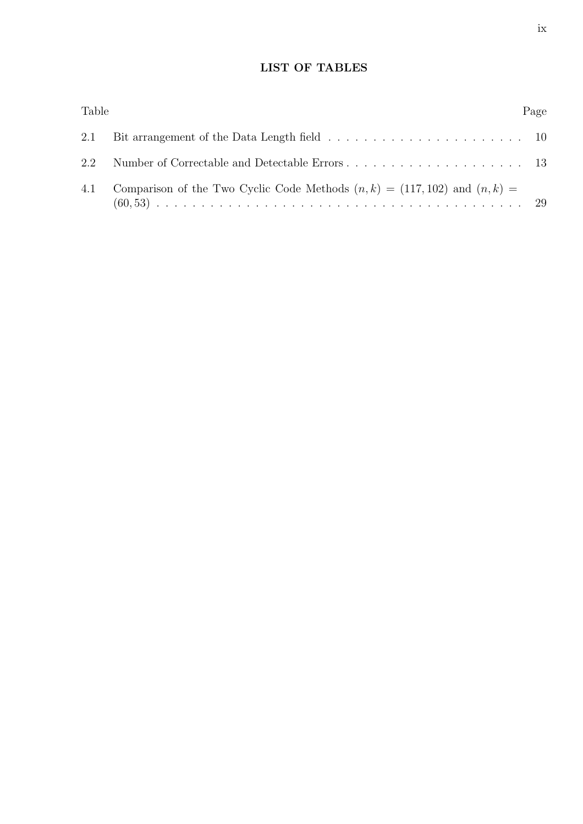## LIST OF TABLES

| Table |                                                                                | Page |  |
|-------|--------------------------------------------------------------------------------|------|--|
|       |                                                                                |      |  |
| 2.2   |                                                                                |      |  |
| 4.1   | Comparison of the Two Cyclic Code Methods $(n, k) = (117, 102)$ and $(n, k) =$ |      |  |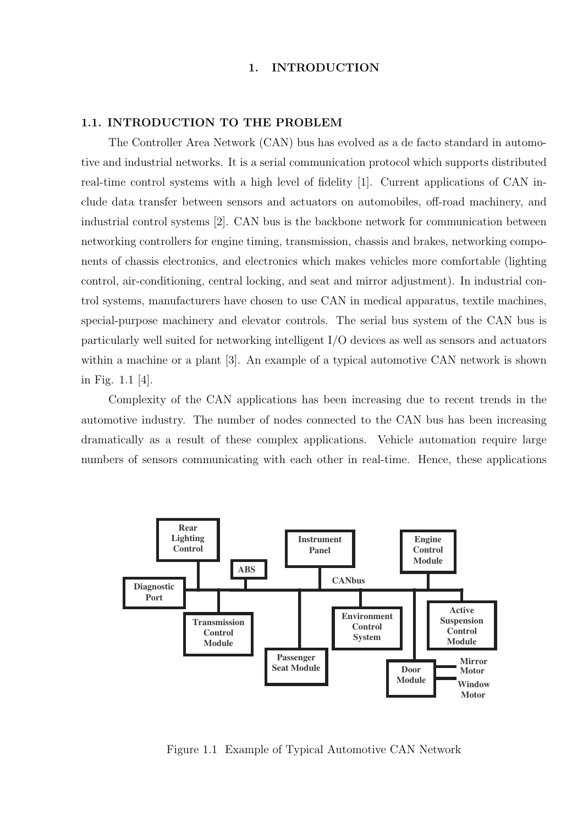#### 1. INTRODUCTION

#### 1.1. INTRODUCTION TO THE PROBLEM

The Controller Area Network (CAN) bus has evolved as a de facto standard in automotive and industrial networks. It is a serial communication protocol which supports distributed real-time control systems with a high level of fidelity [1]. Current applications of CAN include data transfer between sensors and actuators on automobiles, off-road machinery, and industrial control systems [2]. CAN bus is the backbone network for communication between networking controllers for engine timing, transmission, chassis and brakes, networking components of chassis electronics, and electronics which makes vehicles more comfortable (lighting control, air-conditioning, central locking, and seat and mirror adjustment). In industrial control systems, manufacturers have chosen to use CAN in medical apparatus, textile machines, special-purpose machinery and elevator controls. The serial bus system of the CAN bus is particularly well suited for networking intelligent I/O devices as well as sensors and actuators within a machine or a plant [3]. An example of a typical automotive CAN network is shown in Fig. 1.1 [4].

Complexity of the CAN applications has been increasing due to recent trends in the automotive industry. The number of nodes connected to the CAN bus has been increasing dramatically as a result of these complex applications. Vehicle automation require large numbers of sensors communicating with each other in real-time. Hence, these applications



Figure 1.1 Example of Typical Automotive CAN Network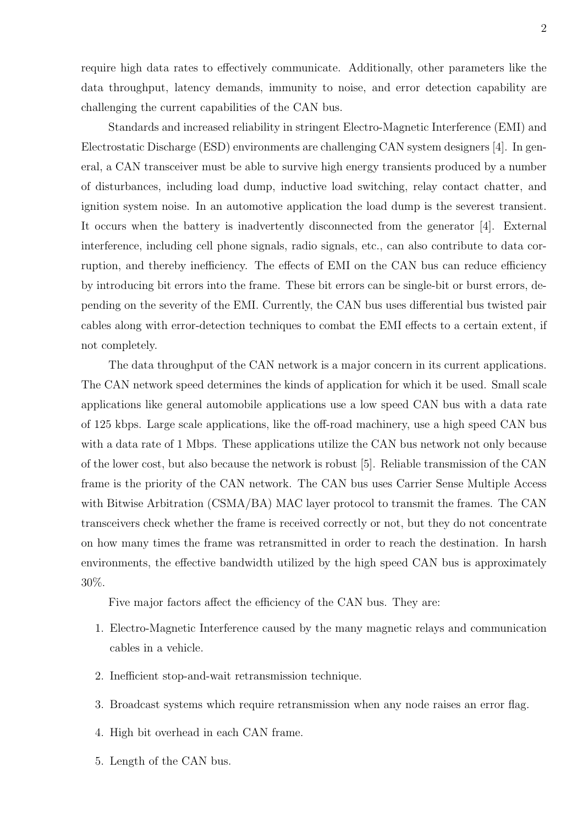require high data rates to effectively communicate. Additionally, other parameters like the data throughput, latency demands, immunity to noise, and error detection capability are challenging the current capabilities of the CAN bus.

Standards and increased reliability in stringent Electro-Magnetic Interference (EMI) and Electrostatic Discharge (ESD) environments are challenging CAN system designers [4]. In general, a CAN transceiver must be able to survive high energy transients produced by a number of disturbances, including load dump, inductive load switching, relay contact chatter, and ignition system noise. In an automotive application the load dump is the severest transient. It occurs when the battery is inadvertently disconnected from the generator [4]. External interference, including cell phone signals, radio signals, etc., can also contribute to data corruption, and thereby inefficiency. The effects of EMI on the CAN bus can reduce efficiency by introducing bit errors into the frame. These bit errors can be single-bit or burst errors, depending on the severity of the EMI. Currently, the CAN bus uses differential bus twisted pair cables along with error-detection techniques to combat the EMI effects to a certain extent, if not completely.

The data throughput of the CAN network is a major concern in its current applications. The CAN network speed determines the kinds of application for which it be used. Small scale applications like general automobile applications use a low speed CAN bus with a data rate of 125 kbps. Large scale applications, like the off-road machinery, use a high speed CAN bus with a data rate of 1 Mbps. These applications utilize the CAN bus network not only because of the lower cost, but also because the network is robust [5]. Reliable transmission of the CAN frame is the priority of the CAN network. The CAN bus uses Carrier Sense Multiple Access with Bitwise Arbitration (CSMA/BA) MAC layer protocol to transmit the frames. The CAN transceivers check whether the frame is received correctly or not, but they do not concentrate on how many times the frame was retransmitted in order to reach the destination. In harsh environments, the effective bandwidth utilized by the high speed CAN bus is approximately 30%.

Five major factors affect the efficiency of the CAN bus. They are:

- 1. Electro-Magnetic Interference caused by the many magnetic relays and communication cables in a vehicle.
- 2. Inefficient stop-and-wait retransmission technique.
- 3. Broadcast systems which require retransmission when any node raises an error flag.
- 4. High bit overhead in each CAN frame.
- 5. Length of the CAN bus.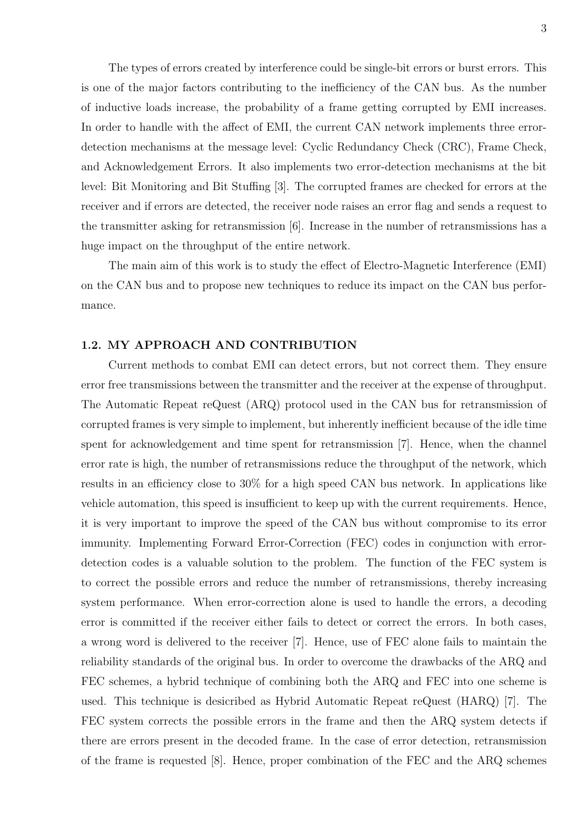The types of errors created by interference could be single-bit errors or burst errors. This is one of the major factors contributing to the inefficiency of the CAN bus. As the number of inductive loads increase, the probability of a frame getting corrupted by EMI increases. In order to handle with the affect of EMI, the current CAN network implements three errordetection mechanisms at the message level: Cyclic Redundancy Check (CRC), Frame Check, and Acknowledgement Errors. It also implements two error-detection mechanisms at the bit level: Bit Monitoring and Bit Stuffing [3]. The corrupted frames are checked for errors at the receiver and if errors are detected, the receiver node raises an error flag and sends a request to the transmitter asking for retransmission [6]. Increase in the number of retransmissions has a huge impact on the throughput of the entire network.

The main aim of this work is to study the effect of Electro-Magnetic Interference (EMI) on the CAN bus and to propose new techniques to reduce its impact on the CAN bus performance.

#### 1.2. MY APPROACH AND CONTRIBUTION

Current methods to combat EMI can detect errors, but not correct them. They ensure error free transmissions between the transmitter and the receiver at the expense of throughput. The Automatic Repeat reQuest (ARQ) protocol used in the CAN bus for retransmission of corrupted frames is very simple to implement, but inherently inefficient because of the idle time spent for acknowledgement and time spent for retransmission [7]. Hence, when the channel error rate is high, the number of retransmissions reduce the throughput of the network, which results in an efficiency close to 30% for a high speed CAN bus network. In applications like vehicle automation, this speed is insufficient to keep up with the current requirements. Hence, it is very important to improve the speed of the CAN bus without compromise to its error immunity. Implementing Forward Error-Correction (FEC) codes in conjunction with errordetection codes is a valuable solution to the problem. The function of the FEC system is to correct the possible errors and reduce the number of retransmissions, thereby increasing system performance. When error-correction alone is used to handle the errors, a decoding error is committed if the receiver either fails to detect or correct the errors. In both cases, a wrong word is delivered to the receiver [7]. Hence, use of FEC alone fails to maintain the reliability standards of the original bus. In order to overcome the drawbacks of the ARQ and FEC schemes, a hybrid technique of combining both the ARQ and FEC into one scheme is used. This technique is desicribed as Hybrid Automatic Repeat reQuest (HARQ) [7]. The FEC system corrects the possible errors in the frame and then the ARQ system detects if there are errors present in the decoded frame. In the case of error detection, retransmission of the frame is requested [8]. Hence, proper combination of the FEC and the ARQ schemes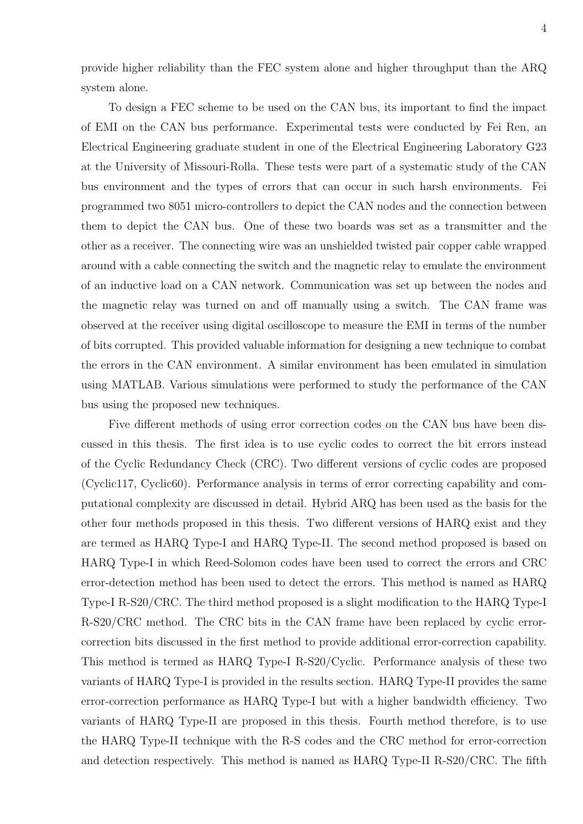provide higher reliability than the FEC system alone and higher throughput than the ARQ system alone.

To design a FEC scheme to be used on the CAN bus, its important to find the impact of EMI on the CAN bus performance. Experimental tests were conducted by Fei Ren, an Electrical Engineering graduate student in one of the Electrical Engineering Laboratory G23 at the University of Missouri-Rolla. These tests were part of a systematic study of the CAN bus environment and the types of errors that can occur in such harsh environments. Fei programmed two 8051 micro-controllers to depict the CAN nodes and the connection between them to depict the CAN bus. One of these two boards was set as a transmitter and the other as a receiver. The connecting wire was an unshielded twisted pair copper cable wrapped around with a cable connecting the switch and the magnetic relay to emulate the environment of an inductive load on a CAN network. Communication was set up between the nodes and the magnetic relay was turned on and off manually using a switch. The CAN frame was observed at the receiver using digital oscilloscope to measure the EMI in terms of the number of bits corrupted. This provided valuable information for designing a new technique to combat the errors in the CAN environment. A similar environment has been emulated in simulation using MATLAB. Various simulations were performed to study the performance of the CAN bus using the proposed new techniques.

Five different methods of using error correction codes on the CAN bus have been discussed in this thesis. The first idea is to use cyclic codes to correct the bit errors instead of the Cyclic Redundancy Check (CRC). Two different versions of cyclic codes are proposed (Cyclic117, Cyclic60). Performance analysis in terms of error correcting capability and computational complexity are discussed in detail. Hybrid ARQ has been used as the basis for the other four methods proposed in this thesis. Two different versions of HARQ exist and they are termed as HARQ Type-I and HARQ Type-II. The second method proposed is based on HARQ Type-I in which Reed-Solomon codes have been used to correct the errors and CRC error-detection method has been used to detect the errors. This method is named as HARQ Type-I R-S20/CRC. The third method proposed is a slight modification to the HARQ Type-I R-S20/CRC method. The CRC bits in the CAN frame have been replaced by cyclic errorcorrection bits discussed in the first method to provide additional error-correction capability. This method is termed as HARQ Type-I R-S20/Cyclic. Performance analysis of these two variants of HARQ Type-I is provided in the results section. HARQ Type-II provides the same error-correction performance as HARQ Type-I but with a higher bandwidth efficiency. Two variants of HARQ Type-II are proposed in this thesis. Fourth method therefore, is to use the HARQ Type-II technique with the R-S codes and the CRC method for error-correction and detection respectively. This method is named as HARQ Type-II R-S20/CRC. The fifth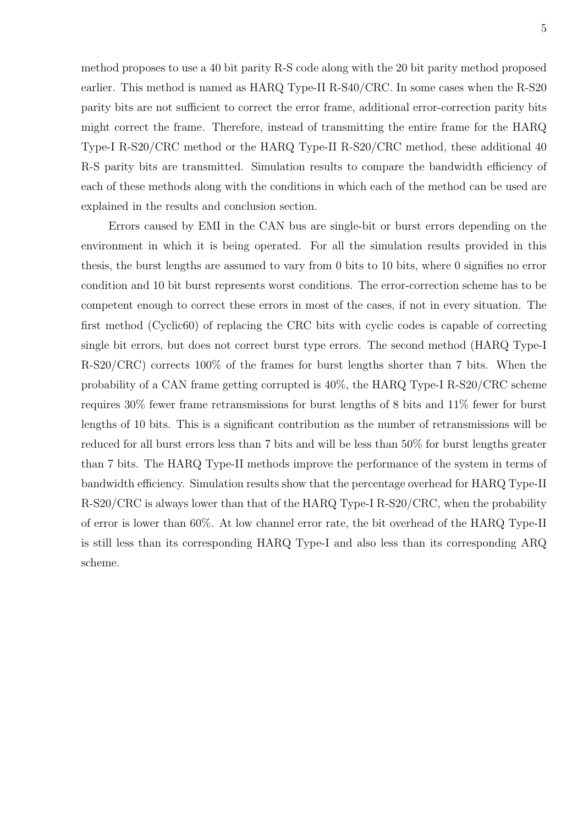method proposes to use a 40 bit parity R-S code along with the 20 bit parity method proposed earlier. This method is named as HARQ Type-II R-S40/CRC. In some cases when the R-S20 parity bits are not sufficient to correct the error frame, additional error-correction parity bits might correct the frame. Therefore, instead of transmitting the entire frame for the HARQ Type-I R-S20/CRC method or the HARQ Type-II R-S20/CRC method, these additional 40 R-S parity bits are transmitted. Simulation results to compare the bandwidth efficiency of each of these methods along with the conditions in which each of the method can be used are explained in the results and conclusion section.

Errors caused by EMI in the CAN bus are single-bit or burst errors depending on the environment in which it is being operated. For all the simulation results provided in this thesis, the burst lengths are assumed to vary from 0 bits to 10 bits, where 0 signifies no error condition and 10 bit burst represents worst conditions. The error-correction scheme has to be competent enough to correct these errors in most of the cases, if not in every situation. The first method (Cyclic60) of replacing the CRC bits with cyclic codes is capable of correcting single bit errors, but does not correct burst type errors. The second method (HARQ Type-I R-S20/CRC) corrects 100% of the frames for burst lengths shorter than 7 bits. When the probability of a CAN frame getting corrupted is 40%, the HARQ Type-I R-S20/CRC scheme requires 30% fewer frame retransmissions for burst lengths of 8 bits and 11% fewer for burst lengths of 10 bits. This is a significant contribution as the number of retransmissions will be reduced for all burst errors less than 7 bits and will be less than 50% for burst lengths greater than 7 bits. The HARQ Type-II methods improve the performance of the system in terms of bandwidth efficiency. Simulation results show that the percentage overhead for HARQ Type-II R-S20/CRC is always lower than that of the HARQ Type-I R-S20/CRC, when the probability of error is lower than 60%. At low channel error rate, the bit overhead of the HARQ Type-II is still less than its corresponding HARQ Type-I and also less than its corresponding ARQ scheme.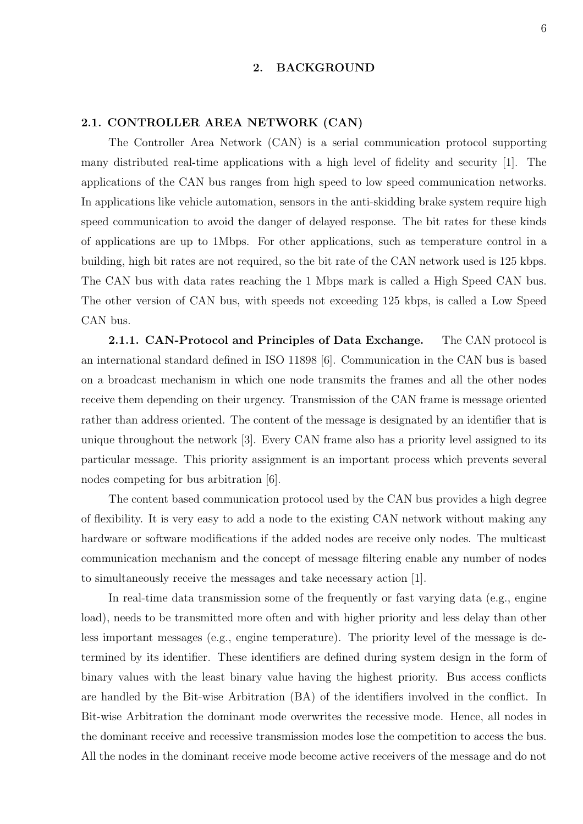#### 2. BACKGROUND

#### 2.1. CONTROLLER AREA NETWORK (CAN)

The Controller Area Network (CAN) is a serial communication protocol supporting many distributed real-time applications with a high level of fidelity and security [1]. The applications of the CAN bus ranges from high speed to low speed communication networks. In applications like vehicle automation, sensors in the anti-skidding brake system require high speed communication to avoid the danger of delayed response. The bit rates for these kinds of applications are up to 1Mbps. For other applications, such as temperature control in a building, high bit rates are not required, so the bit rate of the CAN network used is 125 kbps. The CAN bus with data rates reaching the 1 Mbps mark is called a High Speed CAN bus. The other version of CAN bus, with speeds not exceeding 125 kbps, is called a Low Speed CAN bus.

2.1.1. CAN-Protocol and Principles of Data Exchange. The CAN protocol is an international standard defined in ISO 11898 [6]. Communication in the CAN bus is based on a broadcast mechanism in which one node transmits the frames and all the other nodes receive them depending on their urgency. Transmission of the CAN frame is message oriented rather than address oriented. The content of the message is designated by an identifier that is unique throughout the network [3]. Every CAN frame also has a priority level assigned to its particular message. This priority assignment is an important process which prevents several nodes competing for bus arbitration [6].

The content based communication protocol used by the CAN bus provides a high degree of flexibility. It is very easy to add a node to the existing CAN network without making any hardware or software modifications if the added nodes are receive only nodes. The multicast communication mechanism and the concept of message filtering enable any number of nodes to simultaneously receive the messages and take necessary action [1].

In real-time data transmission some of the frequently or fast varying data (e.g., engine load), needs to be transmitted more often and with higher priority and less delay than other less important messages (e.g., engine temperature). The priority level of the message is determined by its identifier. These identifiers are defined during system design in the form of binary values with the least binary value having the highest priority. Bus access conflicts are handled by the Bit-wise Arbitration (BA) of the identifiers involved in the conflict. In Bit-wise Arbitration the dominant mode overwrites the recessive mode. Hence, all nodes in the dominant receive and recessive transmission modes lose the competition to access the bus. All the nodes in the dominant receive mode become active receivers of the message and do not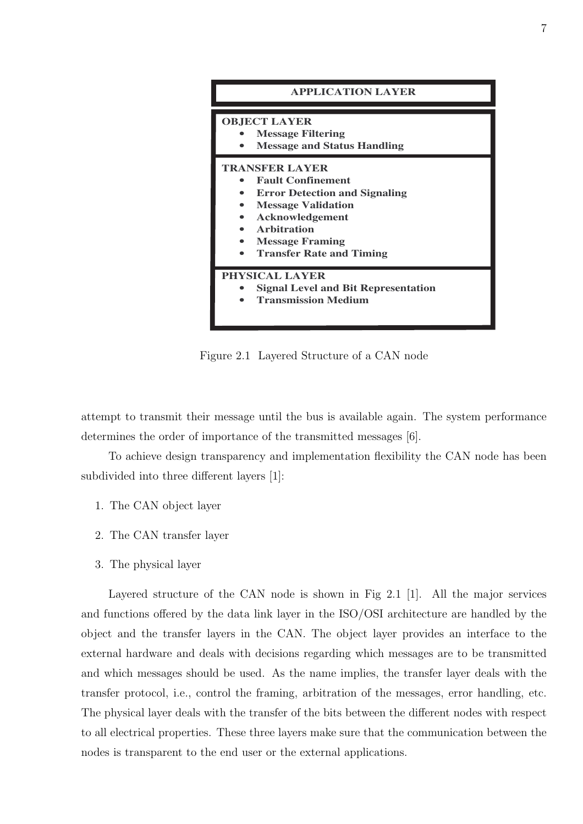

Figure 2.1 Layered Structure of a CAN node

attempt to transmit their message until the bus is available again. The system performance determines the order of importance of the transmitted messages [6].

To achieve design transparency and implementation flexibility the CAN node has been subdivided into three different layers [1]:

- 1. The CAN object layer
- 2. The CAN transfer layer
- 3. The physical layer

Layered structure of the CAN node is shown in Fig 2.1 [1]. All the major services and functions offered by the data link layer in the ISO/OSI architecture are handled by the object and the transfer layers in the CAN. The object layer provides an interface to the external hardware and deals with decisions regarding which messages are to be transmitted and which messages should be used. As the name implies, the transfer layer deals with the transfer protocol, i.e., control the framing, arbitration of the messages, error handling, etc. The physical layer deals with the transfer of the bits between the different nodes with respect to all electrical properties. These three layers make sure that the communication between the nodes is transparent to the end user or the external applications.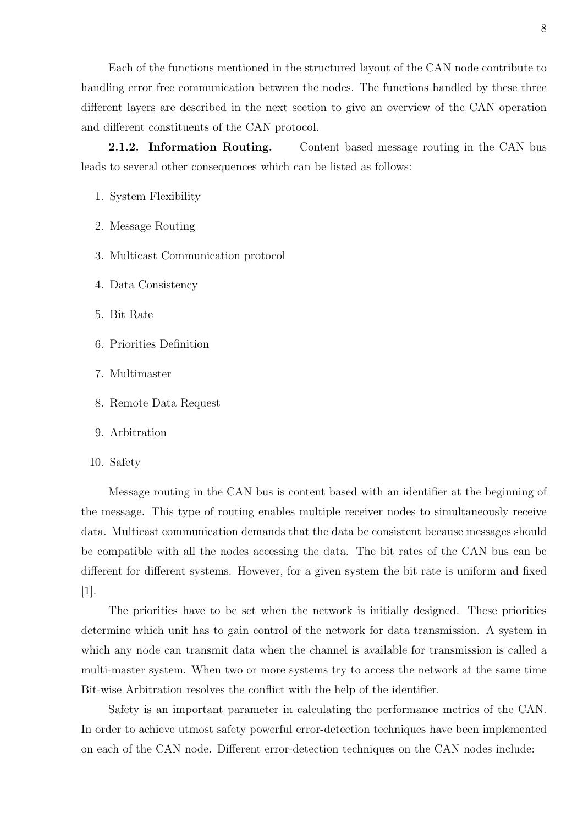Each of the functions mentioned in the structured layout of the CAN node contribute to handling error free communication between the nodes. The functions handled by these three different layers are described in the next section to give an overview of the CAN operation and different constituents of the CAN protocol.

**2.1.2. Information Routing.** Content based message routing in the CAN bus leads to several other consequences which can be listed as follows:

- 1. System Flexibility
- 2. Message Routing
- 3. Multicast Communication protocol
- 4. Data Consistency
- 5. Bit Rate
- 6. Priorities Definition
- 7. Multimaster
- 8. Remote Data Request
- 9. Arbitration
- 10. Safety

Message routing in the CAN bus is content based with an identifier at the beginning of the message. This type of routing enables multiple receiver nodes to simultaneously receive data. Multicast communication demands that the data be consistent because messages should be compatible with all the nodes accessing the data. The bit rates of the CAN bus can be different for different systems. However, for a given system the bit rate is uniform and fixed [1].

The priorities have to be set when the network is initially designed. These priorities determine which unit has to gain control of the network for data transmission. A system in which any node can transmit data when the channel is available for transmission is called a multi-master system. When two or more systems try to access the network at the same time Bit-wise Arbitration resolves the conflict with the help of the identifier.

Safety is an important parameter in calculating the performance metrics of the CAN. In order to achieve utmost safety powerful error-detection techniques have been implemented on each of the CAN node. Different error-detection techniques on the CAN nodes include: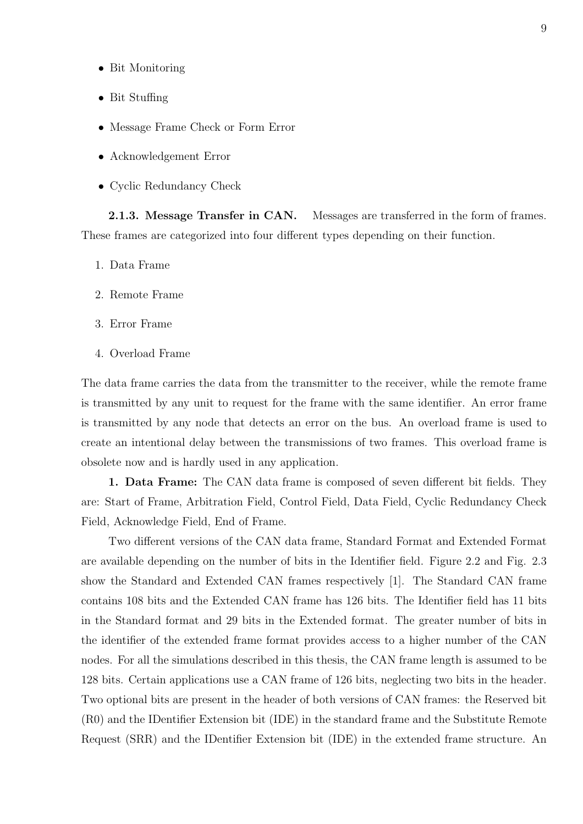- Bit Monitoring
- Bit Stuffing
- Message Frame Check or Form Error
- Acknowledgement Error
- Cyclic Redundancy Check

**2.1.3. Message Transfer in CAN.** Messages are transferred in the form of frames. These frames are categorized into four different types depending on their function.

- 1. Data Frame
- 2. Remote Frame
- 3. Error Frame
- 4. Overload Frame

The data frame carries the data from the transmitter to the receiver, while the remote frame is transmitted by any unit to request for the frame with the same identifier. An error frame is transmitted by any node that detects an error on the bus. An overload frame is used to create an intentional delay between the transmissions of two frames. This overload frame is obsolete now and is hardly used in any application.

1. Data Frame: The CAN data frame is composed of seven different bit fields. They are: Start of Frame, Arbitration Field, Control Field, Data Field, Cyclic Redundancy Check Field, Acknowledge Field, End of Frame.

Two different versions of the CAN data frame, Standard Format and Extended Format are available depending on the number of bits in the Identifier field. Figure 2.2 and Fig. 2.3 show the Standard and Extended CAN frames respectively [1]. The Standard CAN frame contains 108 bits and the Extended CAN frame has 126 bits. The Identifier field has 11 bits in the Standard format and 29 bits in the Extended format. The greater number of bits in the identifier of the extended frame format provides access to a higher number of the CAN nodes. For all the simulations described in this thesis, the CAN frame length is assumed to be 128 bits. Certain applications use a CAN frame of 126 bits, neglecting two bits in the header. Two optional bits are present in the header of both versions of CAN frames: the Reserved bit (R0) and the IDentifier Extension bit (IDE) in the standard frame and the Substitute Remote Request (SRR) and the IDentifier Extension bit (IDE) in the extended frame structure. An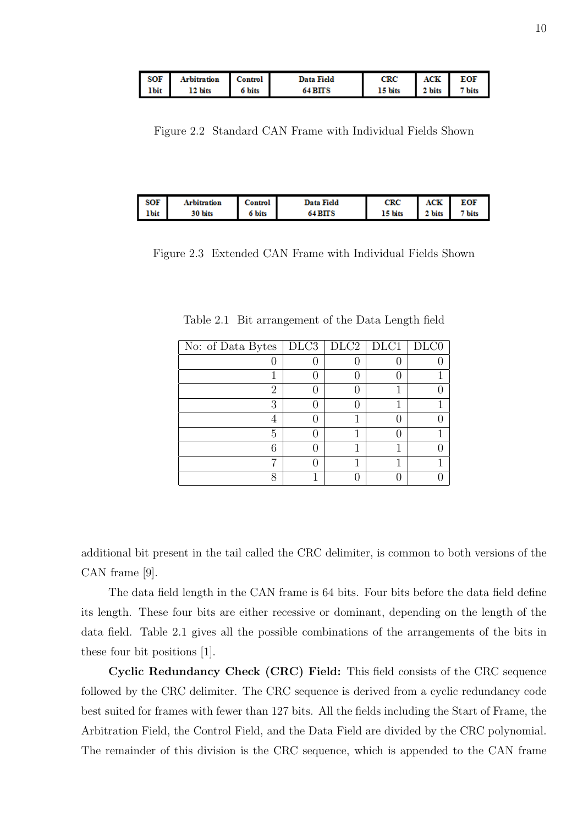| SOF   | <b>Arbitration</b> | Control | Data Field | <b>CRC</b> | ACK    | <b>EOF</b> |
|-------|--------------------|---------|------------|------------|--------|------------|
| 1 bit | 12 bits            | 6 bits  | $64$ BITS  | 15 bits    | 2 bits | 7 bits     |

Figure 2.2 Standard CAN Frame with Individual Fields Shown

| SOF         | Arbitration | ∟ontrol | Data Field  | CRC     | <b>ACK</b>  | EOF              |
|-------------|-------------|---------|-------------|---------|-------------|------------------|
| <b>1bit</b> | 30 bits     | 6 bits  | <b>BITS</b> | 15 bits | <b>bits</b> | $7 \text{ bits}$ |

Figure 2.3 Extended CAN Frame with Individual Fields Shown

| No: of Data Bytes   DLC3   DLC2   DLC1   DLC0 |  |  |
|-----------------------------------------------|--|--|
|                                               |  |  |
|                                               |  |  |
| 9                                             |  |  |
|                                               |  |  |
|                                               |  |  |
| 5                                             |  |  |
|                                               |  |  |
|                                               |  |  |
|                                               |  |  |

Table 2.1 Bit arrangement of the Data Length field

additional bit present in the tail called the CRC delimiter, is common to both versions of the CAN frame [9].

The data field length in the CAN frame is 64 bits. Four bits before the data field define its length. These four bits are either recessive or dominant, depending on the length of the data field. Table 2.1 gives all the possible combinations of the arrangements of the bits in these four bit positions [1].

Cyclic Redundancy Check (CRC) Field: This field consists of the CRC sequence followed by the CRC delimiter. The CRC sequence is derived from a cyclic redundancy code best suited for frames with fewer than 127 bits. All the fields including the Start of Frame, the Arbitration Field, the Control Field, and the Data Field are divided by the CRC polynomial. The remainder of this division is the CRC sequence, which is appended to the CAN frame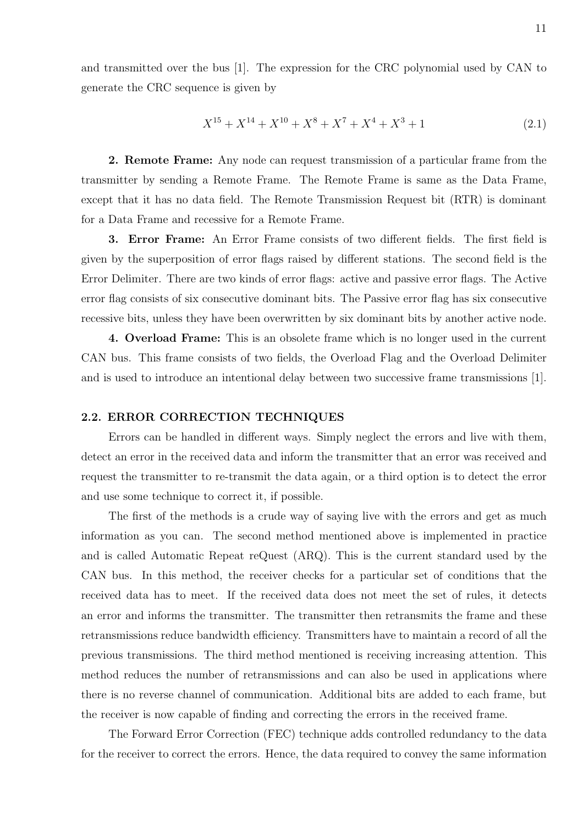and transmitted over the bus [1]. The expression for the CRC polynomial used by CAN to generate the CRC sequence is given by

$$
X^{15} + X^{14} + X^{10} + X^8 + X^7 + X^4 + X^3 + 1 \tag{2.1}
$$

2. Remote Frame: Any node can request transmission of a particular frame from the transmitter by sending a Remote Frame. The Remote Frame is same as the Data Frame, except that it has no data field. The Remote Transmission Request bit (RTR) is dominant for a Data Frame and recessive for a Remote Frame.

3. Error Frame: An Error Frame consists of two different fields. The first field is given by the superposition of error flags raised by different stations. The second field is the Error Delimiter. There are two kinds of error flags: active and passive error flags. The Active error flag consists of six consecutive dominant bits. The Passive error flag has six consecutive recessive bits, unless they have been overwritten by six dominant bits by another active node.

4. Overload Frame: This is an obsolete frame which is no longer used in the current CAN bus. This frame consists of two fields, the Overload Flag and the Overload Delimiter and is used to introduce an intentional delay between two successive frame transmissions [1].

#### 2.2. ERROR CORRECTION TECHNIQUES

Errors can be handled in different ways. Simply neglect the errors and live with them, detect an error in the received data and inform the transmitter that an error was received and request the transmitter to re-transmit the data again, or a third option is to detect the error and use some technique to correct it, if possible.

The first of the methods is a crude way of saying live with the errors and get as much information as you can. The second method mentioned above is implemented in practice and is called Automatic Repeat reQuest (ARQ). This is the current standard used by the CAN bus. In this method, the receiver checks for a particular set of conditions that the received data has to meet. If the received data does not meet the set of rules, it detects an error and informs the transmitter. The transmitter then retransmits the frame and these retransmissions reduce bandwidth efficiency. Transmitters have to maintain a record of all the previous transmissions. The third method mentioned is receiving increasing attention. This method reduces the number of retransmissions and can also be used in applications where there is no reverse channel of communication. Additional bits are added to each frame, but the receiver is now capable of finding and correcting the errors in the received frame.

The Forward Error Correction (FEC) technique adds controlled redundancy to the data for the receiver to correct the errors. Hence, the data required to convey the same information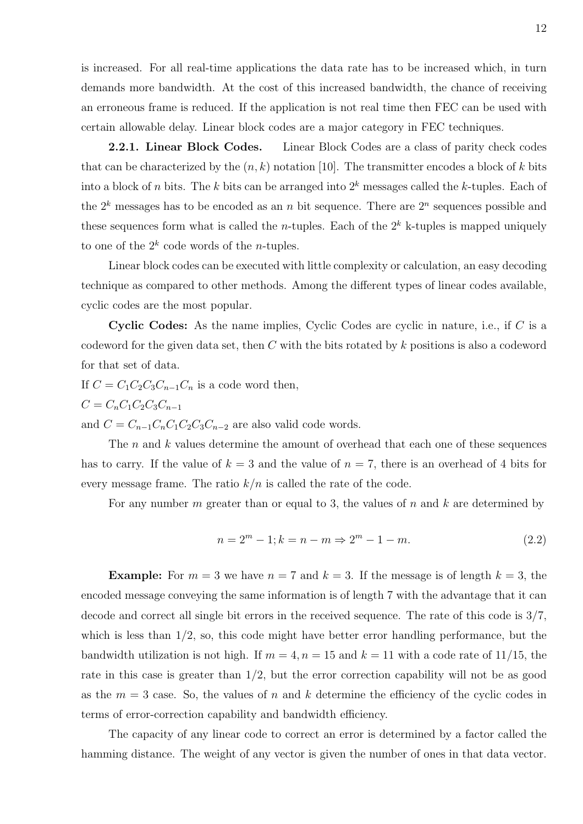is increased. For all real-time applications the data rate has to be increased which, in turn demands more bandwidth. At the cost of this increased bandwidth, the chance of receiving an erroneous frame is reduced. If the application is not real time then FEC can be used with certain allowable delay. Linear block codes are a major category in FEC techniques.

**2.2.1. Linear Block Codes.** Linear Block Codes are a class of parity check codes that can be characterized by the  $(n, k)$  notation [10]. The transmitter encodes a block of k bits into a block of n bits. The k bits can be arranged into  $2<sup>k</sup>$  messages called the k-tuples. Each of the  $2^k$  messages has to be encoded as an n bit sequence. There are  $2^n$  sequences possible and these sequences form what is called the *n*-tuples. Each of the  $2^k$  k-tuples is mapped uniquely to one of the  $2^k$  code words of the *n*-tuples.

Linear block codes can be executed with little complexity or calculation, an easy decoding technique as compared to other methods. Among the different types of linear codes available, cyclic codes are the most popular.

Cyclic Codes: As the name implies, Cyclic Codes are cyclic in nature, i.e., if  $C$  is a codeword for the given data set, then  $C$  with the bits rotated by  $k$  positions is also a codeword for that set of data.

If  $C = C_1C_2C_3C_{n-1}C_n$  is a code word then,  $C = C<sub>n</sub>C<sub>1</sub>C<sub>2</sub>C<sub>3</sub>C<sub>n-1</sub>$ and  $C = C_{n-1}C_nC_1C_2C_3C_{n-2}$  are also valid code words.

The n and k values determine the amount of overhead that each one of these sequences has to carry. If the value of  $k = 3$  and the value of  $n = 7$ , there is an overhead of 4 bits for every message frame. The ratio  $k/n$  is called the rate of the code.

For any number m greater than or equal to 3, the values of n and  $k$  are determined by

$$
n = 2m - 1; k = n - m \Rightarrow 2m - 1 - m.
$$
 (2.2)

**Example:** For  $m = 3$  we have  $n = 7$  and  $k = 3$ . If the message is of length  $k = 3$ , the encoded message conveying the same information is of length 7 with the advantage that it can decode and correct all single bit errors in the received sequence. The rate of this code is 3/7, which is less than 1/2, so, this code might have better error handling performance, but the bandwidth utilization is not high. If  $m = 4$ ,  $n = 15$  and  $k = 11$  with a code rate of 11/15, the rate in this case is greater than  $1/2$ , but the error correction capability will not be as good as the  $m = 3$  case. So, the values of n and k determine the efficiency of the cyclic codes in terms of error-correction capability and bandwidth efficiency.

The capacity of any linear code to correct an error is determined by a factor called the hamming distance. The weight of any vector is given the number of ones in that data vector.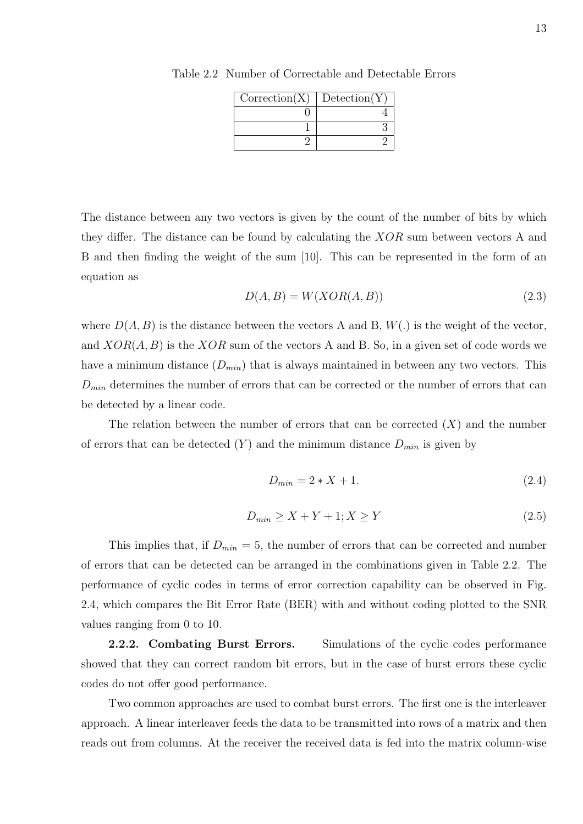| $\text{Correction}(X)$ | $\text{Detection}(Y)$ |
|------------------------|-----------------------|
|                        |                       |
|                        |                       |
|                        |                       |

Table 2.2 Number of Correctable and Detectable Errors

The distance between any two vectors is given by the count of the number of bits by which they differ. The distance can be found by calculating the *XOR* sum between vectors A and B and then finding the weight of the sum [10]. This can be represented in the form of an equation as

$$
D(A, B) = W(XOR(A, B))
$$
\n<sup>(2.3)</sup>

where  $D(A, B)$  is the distance between the vectors A and B,  $W(.)$  is the weight of the vector, and  $XOR(A, B)$  is the  $XOR$  sum of the vectors A and B. So, in a given set of code words we have a minimum distance  $(D_{min})$  that is always maintained in between any two vectors. This  $D_{min}$  determines the number of errors that can be corrected or the number of errors that can be detected by a linear code.

The relation between the number of errors that can be corrected  $(X)$  and the number of errors that can be detected  $(Y)$  and the minimum distance  $D_{min}$  is given by

$$
D_{min} = 2 * X + 1. \t\t(2.4)
$$

$$
D_{\min} \ge X + Y + 1; X \ge Y \tag{2.5}
$$

This implies that, if  $D_{min} = 5$ , the number of errors that can be corrected and number of errors that can be detected can be arranged in the combinations given in Table 2.2. The performance of cyclic codes in terms of error correction capability can be observed in Fig. 2.4, which compares the Bit Error Rate (BER) with and without coding plotted to the SNR values ranging from 0 to 10.

2.2.2. Combating Burst Errors. Simulations of the cyclic codes performance showed that they can correct random bit errors, but in the case of burst errors these cyclic codes do not offer good performance.

Two common approaches are used to combat burst errors. The first one is the interleaver approach. A linear interleaver feeds the data to be transmitted into rows of a matrix and then reads out from columns. At the receiver the received data is fed into the matrix column-wise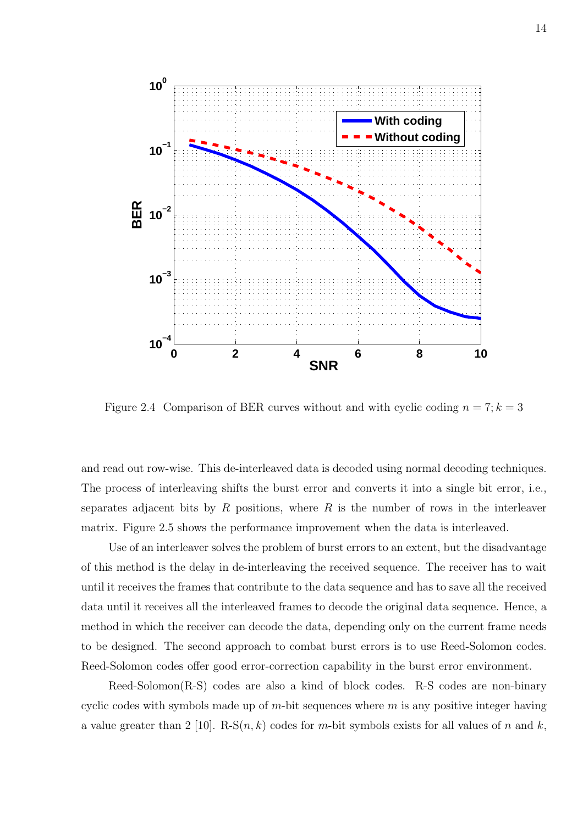

Figure 2.4 Comparison of BER curves without and with cyclic coding  $n = 7; k = 3$ 

and read out row-wise. This de-interleaved data is decoded using normal decoding techniques. The process of interleaving shifts the burst error and converts it into a single bit error, i.e., separates adjacent bits by  $R$  positions, where  $R$  is the number of rows in the interleaver matrix. Figure 2.5 shows the performance improvement when the data is interleaved.

Use of an interleaver solves the problem of burst errors to an extent, but the disadvantage of this method is the delay in de-interleaving the received sequence. The receiver has to wait until it receives the frames that contribute to the data sequence and has to save all the received data until it receives all the interleaved frames to decode the original data sequence. Hence, a method in which the receiver can decode the data, depending only on the current frame needs to be designed. The second approach to combat burst errors is to use Reed-Solomon codes. Reed-Solomon codes offer good error-correction capability in the burst error environment.

Reed-Solomon(R-S) codes are also a kind of block codes. R-S codes are non-binary cyclic codes with symbols made up of  $m$ -bit sequences where  $m$  is any positive integer having a value greater than 2 [10]. R-S $(n, k)$  codes for m-bit symbols exists for all values of n and k,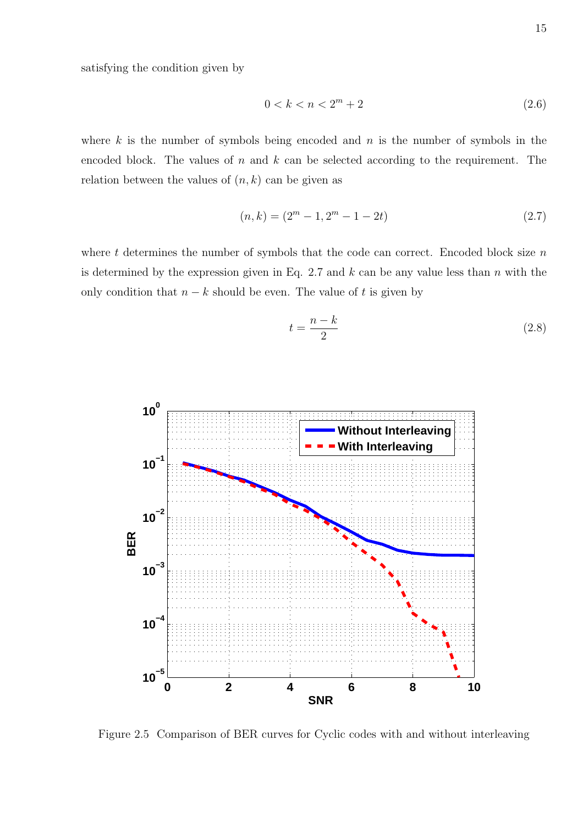satisfying the condition given by

$$
0 < k < n < 2^m + 2 \tag{2.6}
$$

where  $k$  is the number of symbols being encoded and  $n$  is the number of symbols in the encoded block. The values of  $n$  and  $k$  can be selected according to the requirement. The relation between the values of  $(n, k)$  can be given as

$$
(n,k) = (2m - 1, 2m - 1 - 2t)
$$
\n(2.7)

where t determines the number of symbols that the code can correct. Encoded block size  $n$ is determined by the expression given in Eq. 2.7 and  $k$  can be any value less than  $n$  with the only condition that  $n - k$  should be even. The value of t is given by

$$
t = \frac{n-k}{2} \tag{2.8}
$$



Figure 2.5 Comparison of BER curves for Cyclic codes with and without interleaving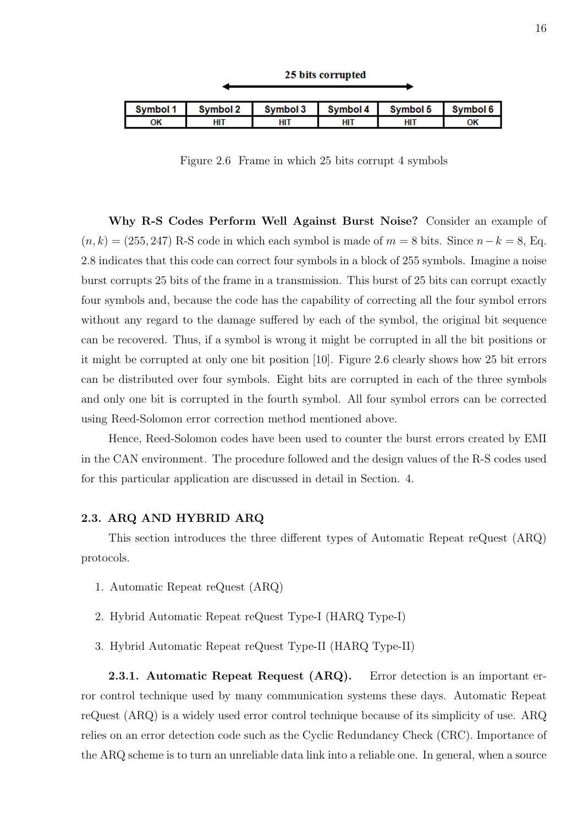|          |          |          | zo pas corrupteu |          |          |
|----------|----------|----------|------------------|----------|----------|
|          |          |          |                  |          |          |
| Symbol 1 | Symbol 2 | Symbol 3 | Symbol 4         | Symbol 5 | Symbol 6 |
| OΚ       | HIT      | HIT      | HIT              | HIT      | ок       |

25 hits committed

Figure 2.6 Frame in which 25 bits corrupt 4 symbols

Why R-S Codes Perform Well Against Burst Noise? Consider an example of  $(n, k) = (255, 247)$  R-S code in which each symbol is made of  $m = 8$  bits. Since  $n - k = 8$ , Eq. 2.8 indicates that this code can correct four symbols in a block of 255 symbols. Imagine a noise burst corrupts 25 bits of the frame in a transmission. This burst of 25 bits can corrupt exactly four symbols and, because the code has the capability of correcting all the four symbol errors without any regard to the damage suffered by each of the symbol, the original bit sequence can be recovered. Thus, if a symbol is wrong it might be corrupted in all the bit positions or it might be corrupted at only one bit position [10]. Figure 2.6 clearly shows how 25 bit errors can be distributed over four symbols. Eight bits are corrupted in each of the three symbols and only one bit is corrupted in the fourth symbol. All four symbol errors can be corrected using Reed-Solomon error correction method mentioned above.

Hence, Reed-Solomon codes have been used to counter the burst errors created by EMI in the CAN environment. The procedure followed and the design values of the R-S codes used for this particular application are discussed in detail in Section. 4.

#### 2.3. ARQ AND HYBRID ARQ

This section introduces the three different types of Automatic Repeat reQuest (ARQ) protocols.

- 1. Automatic Repeat reQuest (ARQ)
- 2. Hybrid Automatic Repeat reQuest Type-I (HARQ Type-I)
- 3. Hybrid Automatic Repeat reQuest Type-II (HARQ Type-II)

2.3.1. Automatic Repeat Request (ARQ). Error detection is an important error control technique used by many communication systems these days. Automatic Repeat reQuest (ARQ) is a widely used error control technique because of its simplicity of use. ARQ relies on an error detection code such as the Cyclic Redundancy Check (CRC). Importance of the ARQ scheme is to turn an unreliable data link into a reliable one. In general, when a source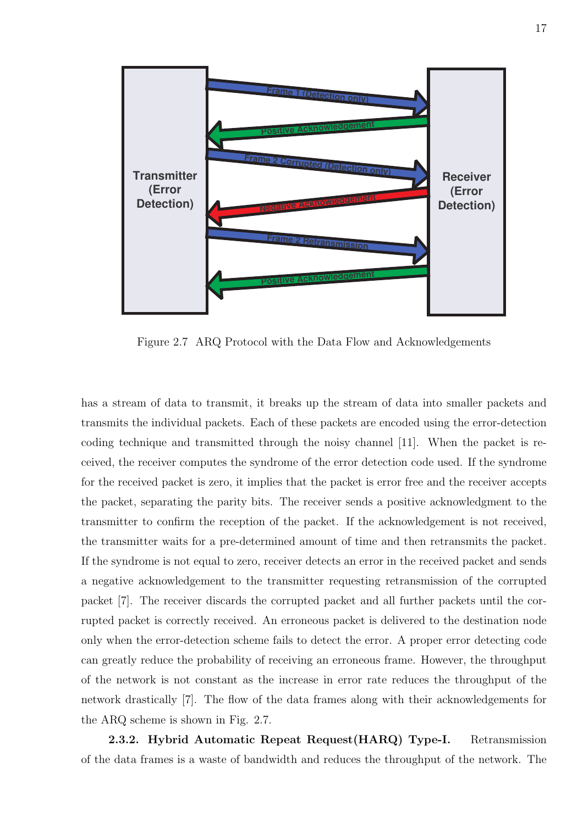

Figure 2.7 ARQ Protocol with the Data Flow and Acknowledgements

has a stream of data to transmit, it breaks up the stream of data into smaller packets and transmits the individual packets. Each of these packets are encoded using the error-detection coding technique and transmitted through the noisy channel [11]. When the packet is received, the receiver computes the syndrome of the error detection code used. If the syndrome for the received packet is zero, it implies that the packet is error free and the receiver accepts the packet, separating the parity bits. The receiver sends a positive acknowledgment to the transmitter to confirm the reception of the packet. If the acknowledgement is not received, the transmitter waits for a pre-determined amount of time and then retransmits the packet. If the syndrome is not equal to zero, receiver detects an error in the received packet and sends a negative acknowledgement to the transmitter requesting retransmission of the corrupted packet [7]. The receiver discards the corrupted packet and all further packets until the corrupted packet is correctly received. An erroneous packet is delivered to the destination node only when the error-detection scheme fails to detect the error. A proper error detecting code can greatly reduce the probability of receiving an erroneous frame. However, the throughput of the network is not constant as the increase in error rate reduces the throughput of the network drastically [7]. The flow of the data frames along with their acknowledgements for the ARQ scheme is shown in Fig. 2.7.

2.3.2. Hybrid Automatic Repeat Request (HARQ) Type-I. Retransmission of the data frames is a waste of bandwidth and reduces the throughput of the network. The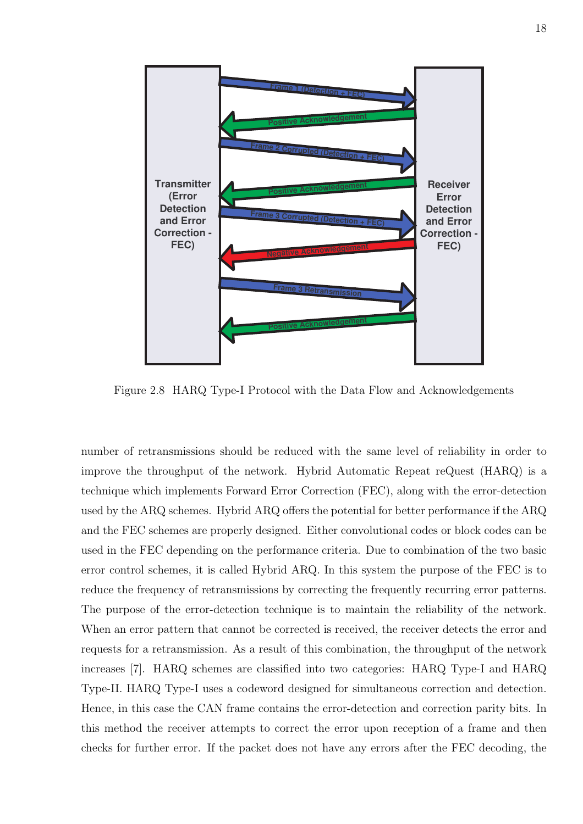

Figure 2.8 HARQ Type-I Protocol with the Data Flow and Acknowledgements

number of retransmissions should be reduced with the same level of reliability in order to improve the throughput of the network. Hybrid Automatic Repeat reQuest (HARQ) is a technique which implements Forward Error Correction (FEC), along with the error-detection used by the ARQ schemes. Hybrid ARQ offers the potential for better performance if the ARQ and the FEC schemes are properly designed. Either convolutional codes or block codes can be used in the FEC depending on the performance criteria. Due to combination of the two basic error control schemes, it is called Hybrid ARQ. In this system the purpose of the FEC is to reduce the frequency of retransmissions by correcting the frequently recurring error patterns. The purpose of the error-detection technique is to maintain the reliability of the network. When an error pattern that cannot be corrected is received, the receiver detects the error and requests for a retransmission. As a result of this combination, the throughput of the network increases [7]. HARQ schemes are classified into two categories: HARQ Type-I and HARQ Type-II. HARQ Type-I uses a codeword designed for simultaneous correction and detection. Hence, in this case the CAN frame contains the error-detection and correction parity bits. In this method the receiver attempts to correct the error upon reception of a frame and then checks for further error. If the packet does not have any errors after the FEC decoding, the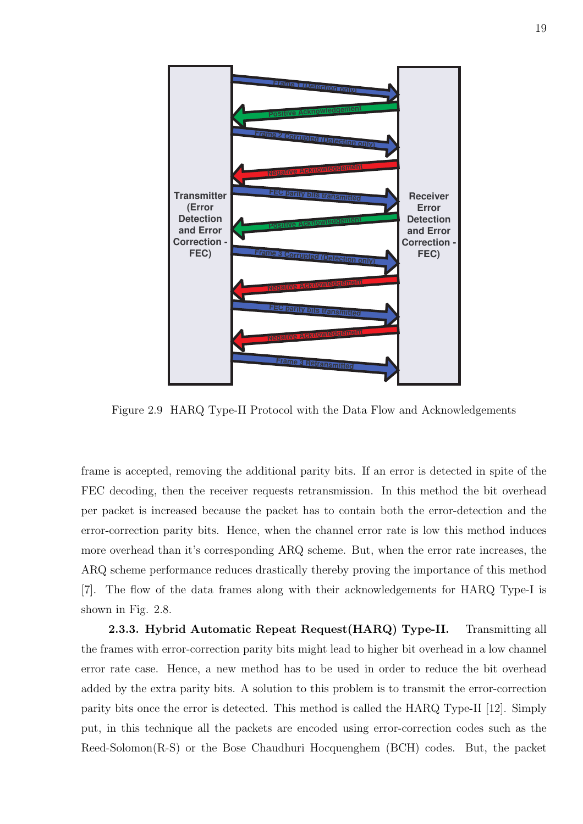

Figure 2.9 HARQ Type-II Protocol with the Data Flow and Acknowledgements

frame is accepted, removing the additional parity bits. If an error is detected in spite of the FEC decoding, then the receiver requests retransmission. In this method the bit overhead per packet is increased because the packet has to contain both the error-detection and the error-correction parity bits. Hence, when the channel error rate is low this method induces more overhead than it's corresponding ARQ scheme. But, when the error rate increases, the ARQ scheme performance reduces drastically thereby proving the importance of this method [7]. The flow of the data frames along with their acknowledgements for HARQ Type-I is shown in Fig. 2.8.

2.3.3. Hybrid Automatic Repeat Request (HARQ) Type-II. Transmitting all the frames with error-correction parity bits might lead to higher bit overhead in a low channel error rate case. Hence, a new method has to be used in order to reduce the bit overhead added by the extra parity bits. A solution to this problem is to transmit the error-correction parity bits once the error is detected. This method is called the HARQ Type-II [12]. Simply put, in this technique all the packets are encoded using error-correction codes such as the Reed-Solomon(R-S) or the Bose Chaudhuri Hocquenghem (BCH) codes. But, the packet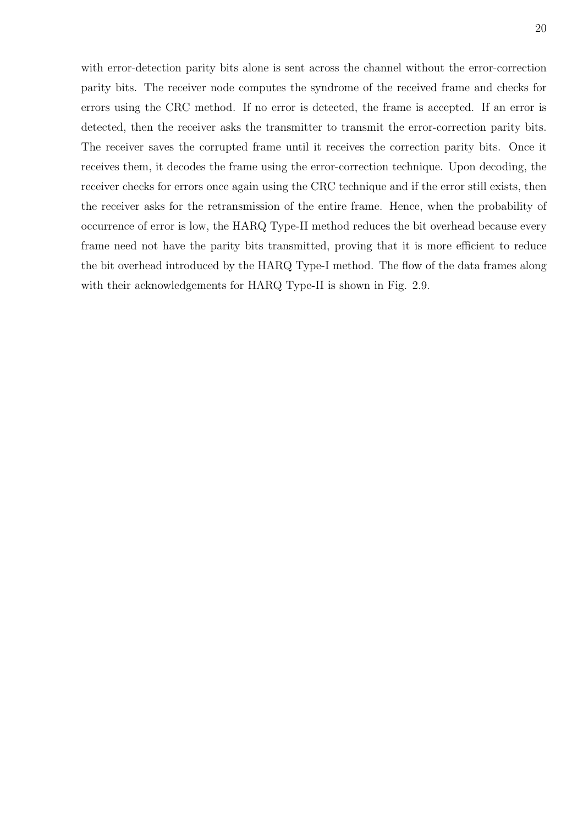with error-detection parity bits alone is sent across the channel without the error-correction parity bits. The receiver node computes the syndrome of the received frame and checks for errors using the CRC method. If no error is detected, the frame is accepted. If an error is detected, then the receiver asks the transmitter to transmit the error-correction parity bits. The receiver saves the corrupted frame until it receives the correction parity bits. Once it receives them, it decodes the frame using the error-correction technique. Upon decoding, the receiver checks for errors once again using the CRC technique and if the error still exists, then the receiver asks for the retransmission of the entire frame. Hence, when the probability of occurrence of error is low, the HARQ Type-II method reduces the bit overhead because every frame need not have the parity bits transmitted, proving that it is more efficient to reduce the bit overhead introduced by the HARQ Type-I method. The flow of the data frames along with their acknowledgements for HARQ Type-II is shown in Fig. 2.9.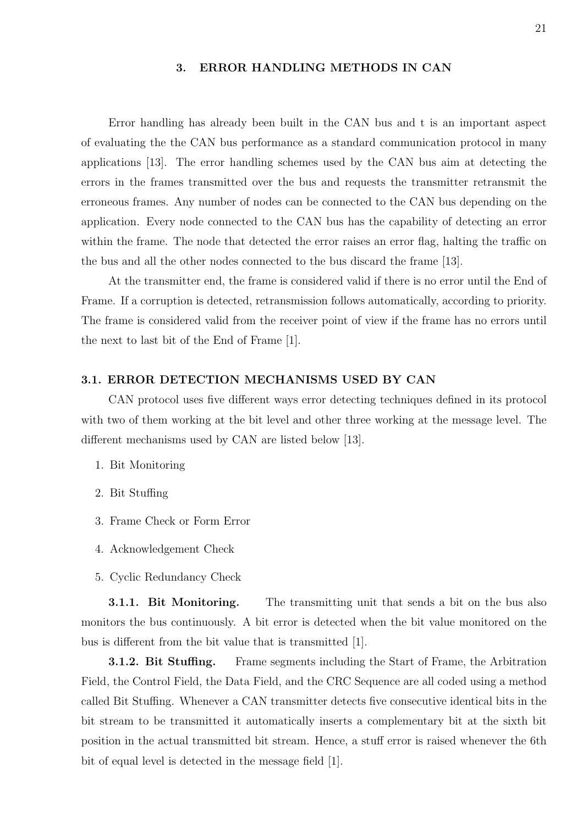#### 3. ERROR HANDLING METHODS IN CAN

Error handling has already been built in the CAN bus and t is an important aspect of evaluating the the CAN bus performance as a standard communication protocol in many applications [13]. The error handling schemes used by the CAN bus aim at detecting the errors in the frames transmitted over the bus and requests the transmitter retransmit the erroneous frames. Any number of nodes can be connected to the CAN bus depending on the application. Every node connected to the CAN bus has the capability of detecting an error within the frame. The node that detected the error raises an error flag, halting the traffic on the bus and all the other nodes connected to the bus discard the frame [13].

At the transmitter end, the frame is considered valid if there is no error until the End of Frame. If a corruption is detected, retransmission follows automatically, according to priority. The frame is considered valid from the receiver point of view if the frame has no errors until the next to last bit of the End of Frame [1].

#### 3.1. ERROR DETECTION MECHANISMS USED BY CAN

CAN protocol uses five different ways error detecting techniques defined in its protocol with two of them working at the bit level and other three working at the message level. The different mechanisms used by CAN are listed below [13].

- 1. Bit Monitoring
- 2. Bit Stuffing
- 3. Frame Check or Form Error
- 4. Acknowledgement Check
- 5. Cyclic Redundancy Check

**3.1.1. Bit Monitoring.** The transmitting unit that sends a bit on the bus also monitors the bus continuously. A bit error is detected when the bit value monitored on the bus is different from the bit value that is transmitted [1].

3.1.2. Bit Stuffing. Frame segments including the Start of Frame, the Arbitration Field, the Control Field, the Data Field, and the CRC Sequence are all coded using a method called Bit Stuffing. Whenever a CAN transmitter detects five consecutive identical bits in the bit stream to be transmitted it automatically inserts a complementary bit at the sixth bit position in the actual transmitted bit stream. Hence, a stuff error is raised whenever the 6th bit of equal level is detected in the message field [1].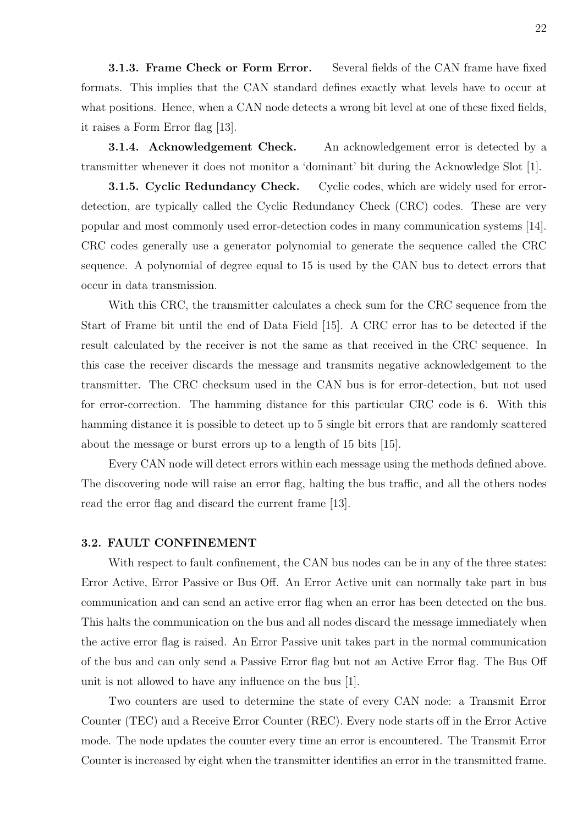**3.1.3. Frame Check or Form Error.** Several fields of the CAN frame have fixed formats. This implies that the CAN standard defines exactly what levels have to occur at what positions. Hence, when a CAN node detects a wrong bit level at one of these fixed fields, it raises a Form Error flag [13].

**3.1.4. Acknowledgement Check.** An acknowledgement error is detected by a transmitter whenever it does not monitor a 'dominant' bit during the Acknowledge Slot [1].

3.1.5. Cyclic Redundancy Check. Cyclic codes, which are widely used for errordetection, are typically called the Cyclic Redundancy Check (CRC) codes. These are very popular and most commonly used error-detection codes in many communication systems [14]. CRC codes generally use a generator polynomial to generate the sequence called the CRC sequence. A polynomial of degree equal to 15 is used by the CAN bus to detect errors that occur in data transmission.

With this CRC, the transmitter calculates a check sum for the CRC sequence from the Start of Frame bit until the end of Data Field [15]. A CRC error has to be detected if the result calculated by the receiver is not the same as that received in the CRC sequence. In this case the receiver discards the message and transmits negative acknowledgement to the transmitter. The CRC checksum used in the CAN bus is for error-detection, but not used for error-correction. The hamming distance for this particular CRC code is 6. With this hamming distance it is possible to detect up to 5 single bit errors that are randomly scattered about the message or burst errors up to a length of 15 bits [15].

Every CAN node will detect errors within each message using the methods defined above. The discovering node will raise an error flag, halting the bus traffic, and all the others nodes read the error flag and discard the current frame [13].

#### 3.2. FAULT CONFINEMENT

With respect to fault confinement, the CAN bus nodes can be in any of the three states: Error Active, Error Passive or Bus Off. An Error Active unit can normally take part in bus communication and can send an active error flag when an error has been detected on the bus. This halts the communication on the bus and all nodes discard the message immediately when the active error flag is raised. An Error Passive unit takes part in the normal communication of the bus and can only send a Passive Error flag but not an Active Error flag. The Bus Off unit is not allowed to have any influence on the bus [1].

Two counters are used to determine the state of every CAN node: a Transmit Error Counter (TEC) and a Receive Error Counter (REC). Every node starts off in the Error Active mode. The node updates the counter every time an error is encountered. The Transmit Error Counter is increased by eight when the transmitter identifies an error in the transmitted frame.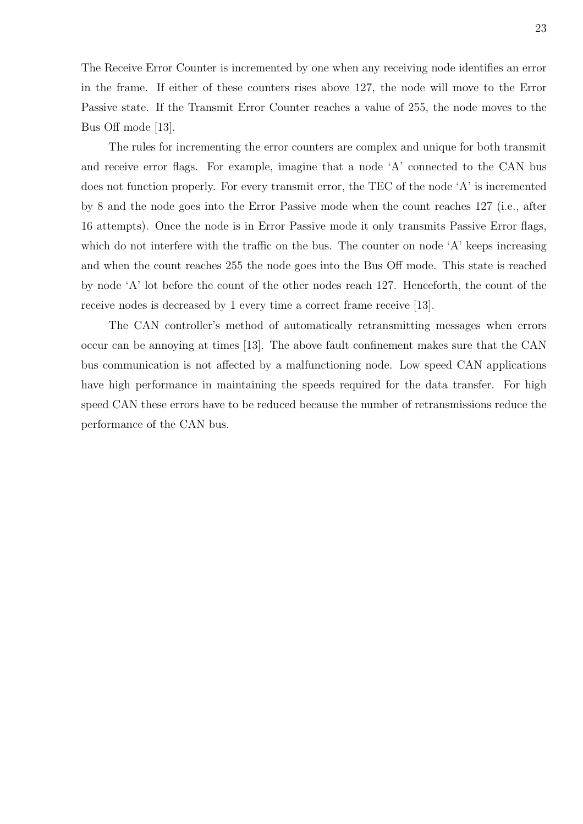The Receive Error Counter is incremented by one when any receiving node identifies an error in the frame. If either of these counters rises above 127, the node will move to the Error Passive state. If the Transmit Error Counter reaches a value of 255, the node moves to the Bus Off mode [13].

The rules for incrementing the error counters are complex and unique for both transmit and receive error flags. For example, imagine that a node 'A' connected to the CAN bus does not function properly. For every transmit error, the TEC of the node 'A' is incremented by 8 and the node goes into the Error Passive mode when the count reaches 127 (i.e., after 16 attempts). Once the node is in Error Passive mode it only transmits Passive Error flags, which do not interfere with the traffic on the bus. The counter on node 'A' keeps increasing and when the count reaches 255 the node goes into the Bus Off mode. This state is reached by node 'A' lot before the count of the other nodes reach 127. Henceforth, the count of the receive nodes is decreased by 1 every time a correct frame receive [13].

The CAN controller's method of automatically retransmitting messages when errors occur can be annoying at times [13]. The above fault confinement makes sure that the CAN bus communication is not affected by a malfunctioning node. Low speed CAN applications have high performance in maintaining the speeds required for the data transfer. For high speed CAN these errors have to be reduced because the number of retransmissions reduce the performance of the CAN bus.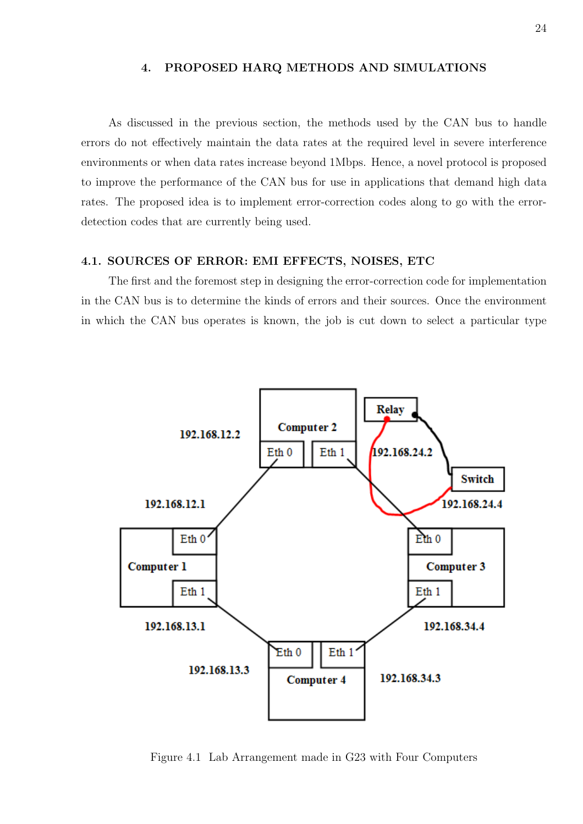#### 4. PROPOSED HARQ METHODS AND SIMULATIONS

As discussed in the previous section, the methods used by the CAN bus to handle errors do not effectively maintain the data rates at the required level in severe interference environments or when data rates increase beyond 1Mbps. Hence, a novel protocol is proposed to improve the performance of the CAN bus for use in applications that demand high data rates. The proposed idea is to implement error-correction codes along to go with the errordetection codes that are currently being used.

#### 4.1. SOURCES OF ERROR: EMI EFFECTS, NOISES, ETC

The first and the foremost step in designing the error-correction code for implementation in the CAN bus is to determine the kinds of errors and their sources. Once the environment in which the CAN bus operates is known, the job is cut down to select a particular type



Figure 4.1 Lab Arrangement made in G23 with Four Computers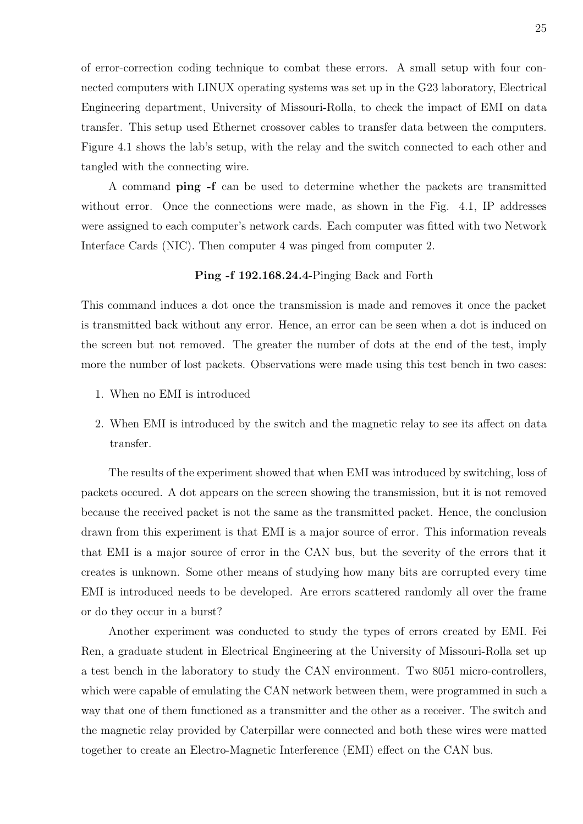of error-correction coding technique to combat these errors. A small setup with four connected computers with LINUX operating systems was set up in the G23 laboratory, Electrical Engineering department, University of Missouri-Rolla, to check the impact of EMI on data transfer. This setup used Ethernet crossover cables to transfer data between the computers. Figure 4.1 shows the lab's setup, with the relay and the switch connected to each other and tangled with the connecting wire.

A command ping -f can be used to determine whether the packets are transmitted without error. Once the connections were made, as shown in the Fig. 4.1, IP addresses were assigned to each computer's network cards. Each computer was fitted with two Network Interface Cards (NIC). Then computer 4 was pinged from computer 2.

#### Ping -f 192.168.24.4-Pinging Back and Forth

This command induces a dot once the transmission is made and removes it once the packet is transmitted back without any error. Hence, an error can be seen when a dot is induced on the screen but not removed. The greater the number of dots at the end of the test, imply more the number of lost packets. Observations were made using this test bench in two cases:

- 1. When no EMI is introduced
- 2. When EMI is introduced by the switch and the magnetic relay to see its affect on data transfer.

The results of the experiment showed that when EMI was introduced by switching, loss of packets occured. A dot appears on the screen showing the transmission, but it is not removed because the received packet is not the same as the transmitted packet. Hence, the conclusion drawn from this experiment is that EMI is a major source of error. This information reveals that EMI is a major source of error in the CAN bus, but the severity of the errors that it creates is unknown. Some other means of studying how many bits are corrupted every time EMI is introduced needs to be developed. Are errors scattered randomly all over the frame or do they occur in a burst?

Another experiment was conducted to study the types of errors created by EMI. Fei Ren, a graduate student in Electrical Engineering at the University of Missouri-Rolla set up a test bench in the laboratory to study the CAN environment. Two 8051 micro-controllers, which were capable of emulating the CAN network between them, were programmed in such a way that one of them functioned as a transmitter and the other as a receiver. The switch and the magnetic relay provided by Caterpillar were connected and both these wires were matted together to create an Electro-Magnetic Interference (EMI) effect on the CAN bus.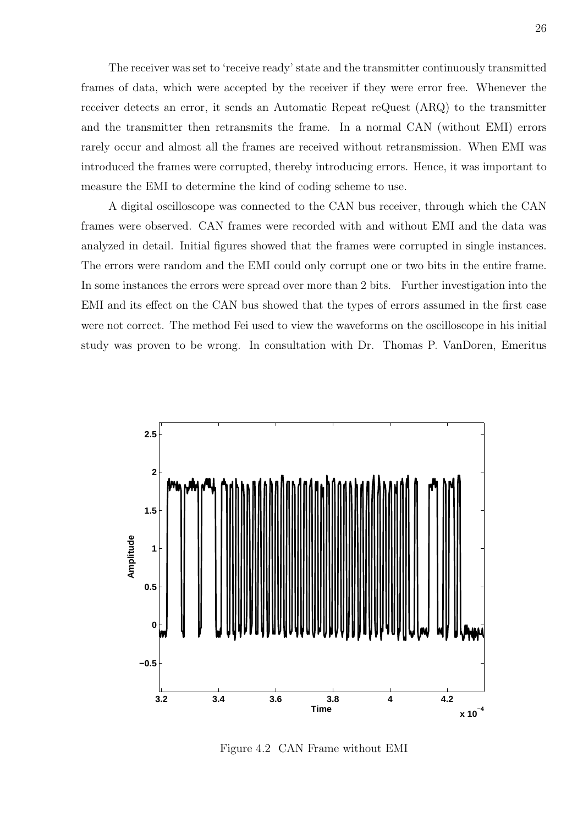The receiver was set to 'receive ready' state and the transmitter continuously transmitted frames of data, which were accepted by the receiver if they were error free. Whenever the receiver detects an error, it sends an Automatic Repeat reQuest (ARQ) to the transmitter and the transmitter then retransmits the frame. In a normal CAN (without EMI) errors rarely occur and almost all the frames are received without retransmission. When EMI was introduced the frames were corrupted, thereby introducing errors. Hence, it was important to measure the EMI to determine the kind of coding scheme to use.

A digital oscilloscope was connected to the CAN bus receiver, through which the CAN frames were observed. CAN frames were recorded with and without EMI and the data was analyzed in detail. Initial figures showed that the frames were corrupted in single instances. The errors were random and the EMI could only corrupt one or two bits in the entire frame. In some instances the errors were spread over more than 2 bits. Further investigation into the EMI and its effect on the CAN bus showed that the types of errors assumed in the first case were not correct. The method Fei used to view the waveforms on the oscilloscope in his initial study was proven to be wrong. In consultation with Dr. Thomas P. VanDoren, Emeritus



Figure 4.2 CAN Frame without EMI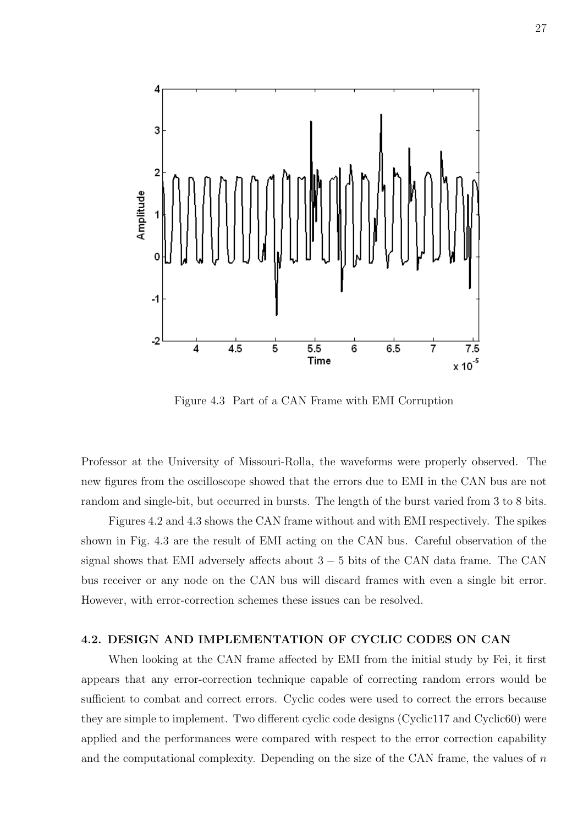

Figure 4.3 Part of a CAN Frame with EMI Corruption

Professor at the University of Missouri-Rolla, the waveforms were properly observed. The new figures from the oscilloscope showed that the errors due to EMI in the CAN bus are not random and single-bit, but occurred in bursts. The length of the burst varied from 3 to 8 bits.

Figures 4.2 and 4.3 shows the CAN frame without and with EMI respectively. The spikes shown in Fig. 4.3 are the result of EMI acting on the CAN bus. Careful observation of the signal shows that EMI adversely affects about  $3 - 5$  bits of the CAN data frame. The CAN bus receiver or any node on the CAN bus will discard frames with even a single bit error. However, with error-correction schemes these issues can be resolved.

#### 4.2. DESIGN AND IMPLEMENTATION OF CYCLIC CODES ON CAN

When looking at the CAN frame affected by EMI from the initial study by Fei, it first appears that any error-correction technique capable of correcting random errors would be sufficient to combat and correct errors. Cyclic codes were used to correct the errors because they are simple to implement. Two different cyclic code designs (Cyclic117 and Cyclic60) were applied and the performances were compared with respect to the error correction capability and the computational complexity. Depending on the size of the CAN frame, the values of  $n$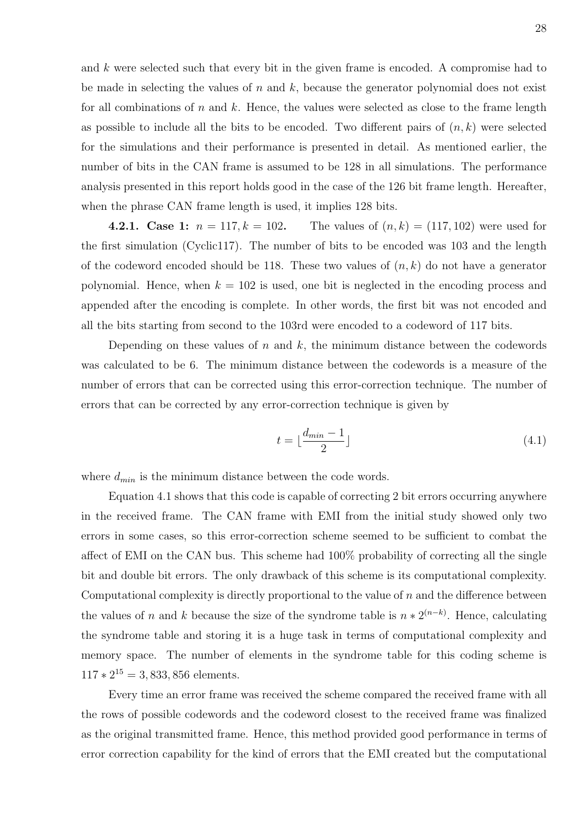and k were selected such that every bit in the given frame is encoded. A compromise had to be made in selecting the values of  $n$  and  $k$ , because the generator polynomial does not exist for all combinations of n and k. Hence, the values were selected as close to the frame length as possible to include all the bits to be encoded. Two different pairs of  $(n, k)$  were selected for the simulations and their performance is presented in detail. As mentioned earlier, the number of bits in the CAN frame is assumed to be 128 in all simulations. The performance analysis presented in this report holds good in the case of the 126 bit frame length. Hereafter, when the phrase CAN frame length is used, it implies 128 bits.

**4.2.1.** Case 1:  $n = 117, k = 102$ . The values of  $(n, k) = (117, 102)$  were used for the first simulation (Cyclic117). The number of bits to be encoded was 103 and the length of the codeword encoded should be 118. These two values of  $(n, k)$  do not have a generator polynomial. Hence, when  $k = 102$  is used, one bit is neglected in the encoding process and appended after the encoding is complete. In other words, the first bit was not encoded and all the bits starting from second to the 103rd were encoded to a codeword of 117 bits.

Depending on these values of n and  $k$ , the minimum distance between the codewords was calculated to be 6. The minimum distance between the codewords is a measure of the number of errors that can be corrected using this error-correction technique. The number of errors that can be corrected by any error-correction technique is given by

$$
t = \lfloor \frac{d_{min} - 1}{2} \rfloor \tag{4.1}
$$

where  $d_{min}$  is the minimum distance between the code words.

Equation 4.1 shows that this code is capable of correcting 2 bit errors occurring anywhere in the received frame. The CAN frame with EMI from the initial study showed only two errors in some cases, so this error-correction scheme seemed to be sufficient to combat the affect of EMI on the CAN bus. This scheme had 100% probability of correcting all the single bit and double bit errors. The only drawback of this scheme is its computational complexity. Computational complexity is directly proportional to the value of  $n$  and the difference between the values of n and k because the size of the syndrome table is  $n * 2^{(n-k)}$ . Hence, calculating the syndrome table and storing it is a huge task in terms of computational complexity and memory space. The number of elements in the syndrome table for this coding scheme is  $117 * 2^{15} = 3,833,856$  elements.

Every time an error frame was received the scheme compared the received frame with all the rows of possible codewords and the codeword closest to the received frame was finalized as the original transmitted frame. Hence, this method provided good performance in terms of error correction capability for the kind of errors that the EMI created but the computational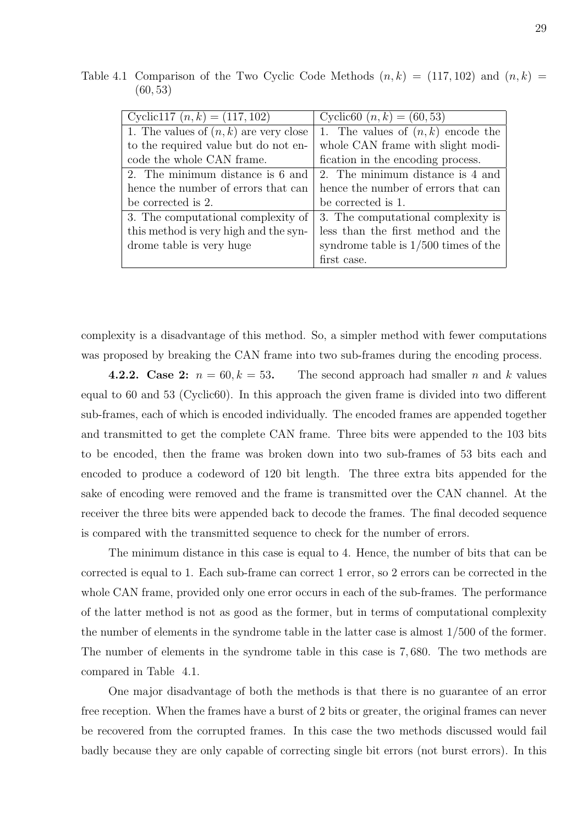| Cyclic117 $(n, k) = (117, 102)$                | Cyclic <sub>60</sub> $(n, k) = (60, 53)$       |
|------------------------------------------------|------------------------------------------------|
| 1. The values of $(n, k)$ are very close       | 1. The values of $(n, k)$ encode the           |
| to the required value but do not en-           | whole CAN frame with slight modi-              |
| code the whole CAN frame.                      | fication in the encoding process.              |
| $\overline{2}$ . The minimum distance is 6 and | $\overline{2}$ . The minimum distance is 4 and |
| hence the number of errors that can            | hence the number of errors that can            |
| be corrected is 2.                             | be corrected is 1.                             |
| 3. The computational complexity of             | 3. The computational complexity is             |
| this method is very high and the syn-          | less than the first method and the             |
| drome table is very huge                       | syndrome table is $1/500$ times of the         |
|                                                | first case.                                    |

Table 4.1 Comparison of the Two Cyclic Code Methods  $(n, k) = (117, 102)$  and  $(n, k) =$ (60, 53)

complexity is a disadvantage of this method. So, a simpler method with fewer computations was proposed by breaking the CAN frame into two sub-frames during the encoding process.

**4.2.2.** Case 2:  $n = 60, k = 53$ . The second approach had smaller n and k values equal to 60 and 53 (Cyclic60). In this approach the given frame is divided into two different sub-frames, each of which is encoded individually. The encoded frames are appended together and transmitted to get the complete CAN frame. Three bits were appended to the 103 bits to be encoded, then the frame was broken down into two sub-frames of 53 bits each and encoded to produce a codeword of 120 bit length. The three extra bits appended for the sake of encoding were removed and the frame is transmitted over the CAN channel. At the receiver the three bits were appended back to decode the frames. The final decoded sequence is compared with the transmitted sequence to check for the number of errors.

The minimum distance in this case is equal to 4. Hence, the number of bits that can be corrected is equal to 1. Each sub-frame can correct 1 error, so 2 errors can be corrected in the whole CAN frame, provided only one error occurs in each of the sub-frames. The performance of the latter method is not as good as the former, but in terms of computational complexity the number of elements in the syndrome table in the latter case is almost 1/500 of the former. The number of elements in the syndrome table in this case is 7, 680. The two methods are compared in Table 4.1.

One major disadvantage of both the methods is that there is no guarantee of an error free reception. When the frames have a burst of 2 bits or greater, the original frames can never be recovered from the corrupted frames. In this case the two methods discussed would fail badly because they are only capable of correcting single bit errors (not burst errors). In this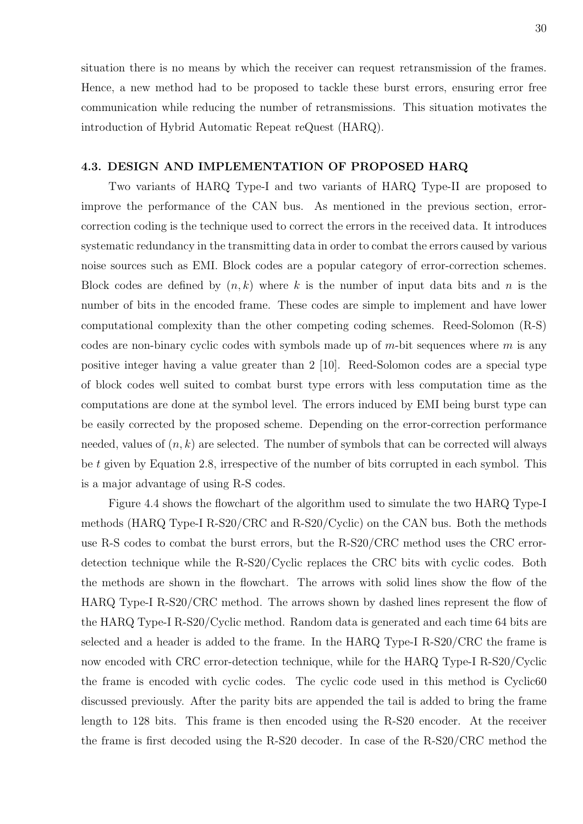situation there is no means by which the receiver can request retransmission of the frames. Hence, a new method had to be proposed to tackle these burst errors, ensuring error free communication while reducing the number of retransmissions. This situation motivates the introduction of Hybrid Automatic Repeat reQuest (HARQ).

#### 4.3. DESIGN AND IMPLEMENTATION OF PROPOSED HARQ

Two variants of HARQ Type-I and two variants of HARQ Type-II are proposed to improve the performance of the CAN bus. As mentioned in the previous section, errorcorrection coding is the technique used to correct the errors in the received data. It introduces systematic redundancy in the transmitting data in order to combat the errors caused by various noise sources such as EMI. Block codes are a popular category of error-correction schemes. Block codes are defined by  $(n, k)$  where k is the number of input data bits and n is the number of bits in the encoded frame. These codes are simple to implement and have lower computational complexity than the other competing coding schemes. Reed-Solomon (R-S) codes are non-binary cyclic codes with symbols made up of  $m$ -bit sequences where  $m$  is any positive integer having a value greater than 2 [10]. Reed-Solomon codes are a special type of block codes well suited to combat burst type errors with less computation time as the computations are done at the symbol level. The errors induced by EMI being burst type can be easily corrected by the proposed scheme. Depending on the error-correction performance needed, values of  $(n, k)$  are selected. The number of symbols that can be corrected will always be t given by Equation 2.8, irrespective of the number of bits corrupted in each symbol. This is a major advantage of using R-S codes.

Figure 4.4 shows the flowchart of the algorithm used to simulate the two HARQ Type-I methods (HARQ Type-I R-S20/CRC and R-S20/Cyclic) on the CAN bus. Both the methods use R-S codes to combat the burst errors, but the R-S20/CRC method uses the CRC errordetection technique while the R-S20/Cyclic replaces the CRC bits with cyclic codes. Both the methods are shown in the flowchart. The arrows with solid lines show the flow of the HARQ Type-I R-S20/CRC method. The arrows shown by dashed lines represent the flow of the HARQ Type-I R-S20/Cyclic method. Random data is generated and each time 64 bits are selected and a header is added to the frame. In the HARQ Type-I R-S20/CRC the frame is now encoded with CRC error-detection technique, while for the HARQ Type-I R-S20/Cyclic the frame is encoded with cyclic codes. The cyclic code used in this method is Cyclic60 discussed previously. After the parity bits are appended the tail is added to bring the frame length to 128 bits. This frame is then encoded using the R-S20 encoder. At the receiver the frame is first decoded using the R-S20 decoder. In case of the R-S20/CRC method the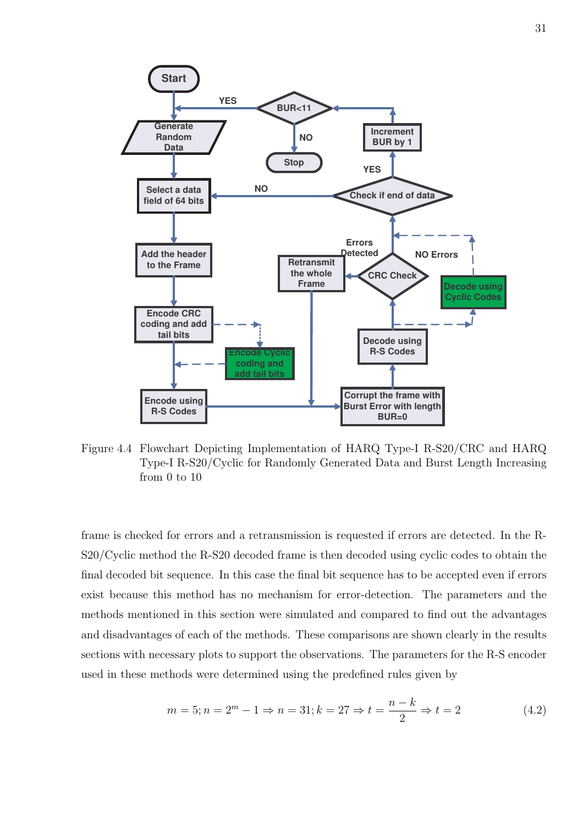

Figure 4.4 Flowchart Depicting Implementation of HARQ Type-I R-S20/CRC and HARQ Type-I R-S20/Cyclic for Randomly Generated Data and Burst Length Increasing from 0 to 10

frame is checked for errors and a retransmission is requested if errors are detected. In the R-S20/Cyclic method the R-S20 decoded frame is then decoded using cyclic codes to obtain the final decoded bit sequence. In this case the final bit sequence has to be accepted even if errors exist because this method has no mechanism for error-detection. The parameters and the methods mentioned in this section were simulated and compared to find out the advantages and disadvantages of each of the methods. These comparisons are shown clearly in the results sections with necessary plots to support the observations. The parameters for the R-S encoder used in these methods were determined using the predefined rules given by

$$
m = 5; n = 2m - 1 \Rightarrow n = 31; k = 27 \Rightarrow t = \frac{n - k}{2} \Rightarrow t = 2
$$
\n(4.2)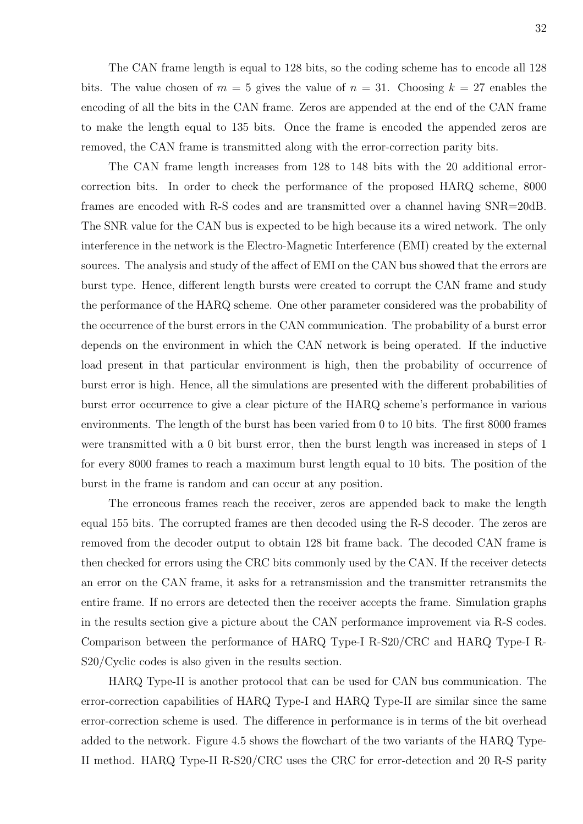The CAN frame length is equal to 128 bits, so the coding scheme has to encode all 128 bits. The value chosen of  $m = 5$  gives the value of  $n = 31$ . Choosing  $k = 27$  enables the encoding of all the bits in the CAN frame. Zeros are appended at the end of the CAN frame to make the length equal to 135 bits. Once the frame is encoded the appended zeros are removed, the CAN frame is transmitted along with the error-correction parity bits.

The CAN frame length increases from 128 to 148 bits with the 20 additional errorcorrection bits. In order to check the performance of the proposed HARQ scheme, 8000 frames are encoded with R-S codes and are transmitted over a channel having SNR=20dB. The SNR value for the CAN bus is expected to be high because its a wired network. The only interference in the network is the Electro-Magnetic Interference (EMI) created by the external sources. The analysis and study of the affect of EMI on the CAN bus showed that the errors are burst type. Hence, different length bursts were created to corrupt the CAN frame and study the performance of the HARQ scheme. One other parameter considered was the probability of the occurrence of the burst errors in the CAN communication. The probability of a burst error depends on the environment in which the CAN network is being operated. If the inductive load present in that particular environment is high, then the probability of occurrence of burst error is high. Hence, all the simulations are presented with the different probabilities of burst error occurrence to give a clear picture of the HARQ scheme's performance in various environments. The length of the burst has been varied from 0 to 10 bits. The first 8000 frames were transmitted with a 0 bit burst error, then the burst length was increased in steps of 1 for every 8000 frames to reach a maximum burst length equal to 10 bits. The position of the burst in the frame is random and can occur at any position.

The erroneous frames reach the receiver, zeros are appended back to make the length equal 155 bits. The corrupted frames are then decoded using the R-S decoder. The zeros are removed from the decoder output to obtain 128 bit frame back. The decoded CAN frame is then checked for errors using the CRC bits commonly used by the CAN. If the receiver detects an error on the CAN frame, it asks for a retransmission and the transmitter retransmits the entire frame. If no errors are detected then the receiver accepts the frame. Simulation graphs in the results section give a picture about the CAN performance improvement via R-S codes. Comparison between the performance of HARQ Type-I R-S20/CRC and HARQ Type-I R-S20/Cyclic codes is also given in the results section.

HARQ Type-II is another protocol that can be used for CAN bus communication. The error-correction capabilities of HARQ Type-I and HARQ Type-II are similar since the same error-correction scheme is used. The difference in performance is in terms of the bit overhead added to the network. Figure 4.5 shows the flowchart of the two variants of the HARQ Type-II method. HARQ Type-II R-S20/CRC uses the CRC for error-detection and 20 R-S parity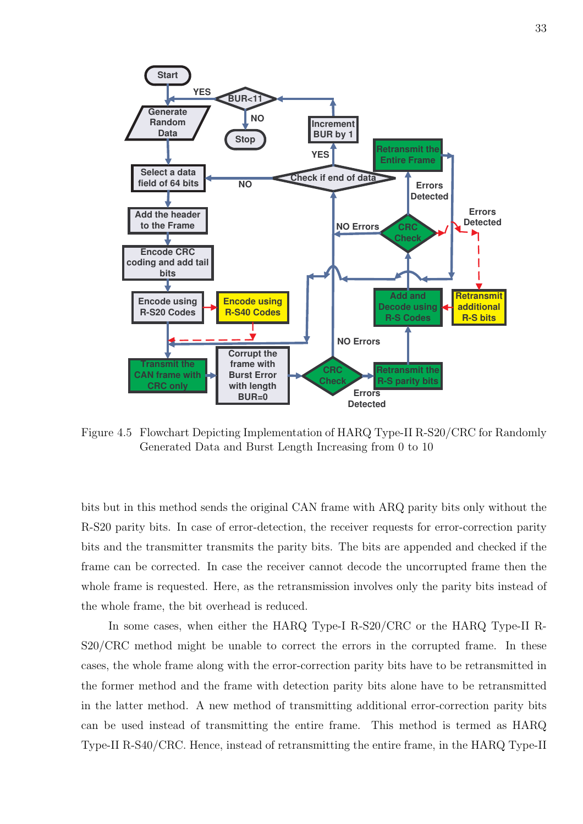

Figure 4.5 Flowchart Depicting Implementation of HARQ Type-II R-S20/CRC for Randomly Generated Data and Burst Length Increasing from 0 to 10

bits but in this method sends the original CAN frame with ARQ parity bits only without the R-S20 parity bits. In case of error-detection, the receiver requests for error-correction parity bits and the transmitter transmits the parity bits. The bits are appended and checked if the frame can be corrected. In case the receiver cannot decode the uncorrupted frame then the whole frame is requested. Here, as the retransmission involves only the parity bits instead of the whole frame, the bit overhead is reduced.

In some cases, when either the HARQ Type-I R-S20/CRC or the HARQ Type-II R-S20/CRC method might be unable to correct the errors in the corrupted frame. In these cases, the whole frame along with the error-correction parity bits have to be retransmitted in the former method and the frame with detection parity bits alone have to be retransmitted in the latter method. A new method of transmitting additional error-correction parity bits can be used instead of transmitting the entire frame. This method is termed as HARQ Type-II R-S40/CRC. Hence, instead of retransmitting the entire frame, in the HARQ Type-II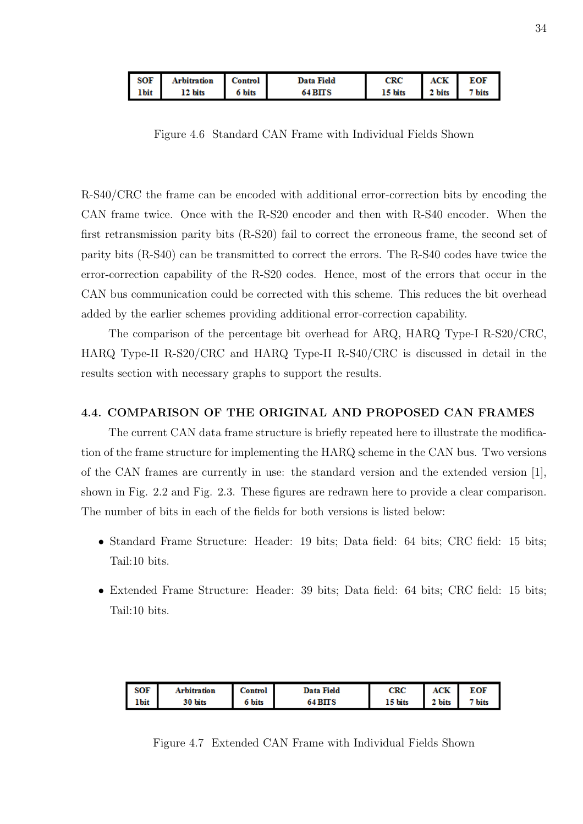| SOF   | Arbitration | Control | Data Field | <b>CRC</b> | ACK    | <b>EOF</b>       |
|-------|-------------|---------|------------|------------|--------|------------------|
| 1 bit | 12 bits     | 6 bits  | 64 BIT S   | 15 bits    | 2 bits | $7 \text{ bits}$ |

Figure 4.6 Standard CAN Frame with Individual Fields Shown

R-S40/CRC the frame can be encoded with additional error-correction bits by encoding the CAN frame twice. Once with the R-S20 encoder and then with R-S40 encoder. When the first retransmission parity bits (R-S20) fail to correct the erroneous frame, the second set of parity bits (R-S40) can be transmitted to correct the errors. The R-S40 codes have twice the error-correction capability of the R-S20 codes. Hence, most of the errors that occur in the CAN bus communication could be corrected with this scheme. This reduces the bit overhead added by the earlier schemes providing additional error-correction capability.

The comparison of the percentage bit overhead for ARQ, HARQ Type-I R-S20/CRC, HARQ Type-II R-S20/CRC and HARQ Type-II R-S40/CRC is discussed in detail in the results section with necessary graphs to support the results.

### 4.4. COMPARISON OF THE ORIGINAL AND PROPOSED CAN FRAMES

The current CAN data frame structure is briefly repeated here to illustrate the modification of the frame structure for implementing the HARQ scheme in the CAN bus. Two versions of the CAN frames are currently in use: the standard version and the extended version [1], shown in Fig. 2.2 and Fig. 2.3. These figures are redrawn here to provide a clear comparison. The number of bits in each of the fields for both versions is listed below:

- Standard Frame Structure: Header: 19 bits; Data field: 64 bits; CRC field: 15 bits; Tail:10 bits.
- Extended Frame Structure: Header: 39 bits; Data field: 64 bits; CRC field: 15 bits; Tail:10 bits.

| SOF   | Arbitration | Control | Data Field | CRC     | ACK               | EOF               |
|-------|-------------|---------|------------|---------|-------------------|-------------------|
| 1 bit | 30 bits     | 6 bits  | 64 BITS    | 15 bits | <sup>2</sup> bits | <sup>7</sup> bits |

Figure 4.7 Extended CAN Frame with Individual Fields Shown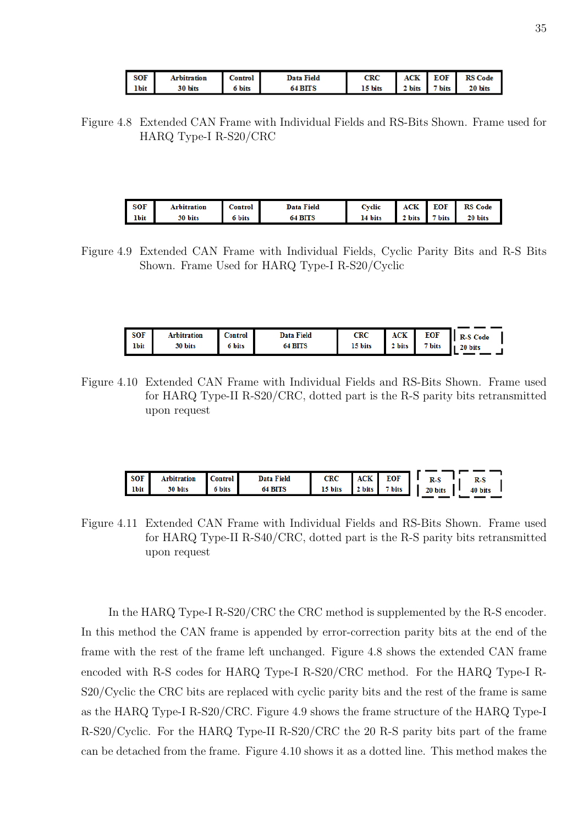| SOF         | <b>Arbitration</b> | Control | Data Field | <b>CRC</b> | ACK    | <b>EOF</b> | <b>RS</b> Code |
|-------------|--------------------|---------|------------|------------|--------|------------|----------------|
| <b>1bit</b> | 30 bits            | 6 bits  | 64 BIT S   | 15 bits    | 2 bits | 7 bits     | 20 bits        |

Figure 4.8 Extended CAN Frame with Individual Fields and RS-Bits Shown. Frame used for HARQ Type-I R-S20/CRC

| SOF         | rbitration | Control       | <b>Data Field</b> | Cvclic  | ACK               | <b>EOF</b>       | <b>RS</b> Code |
|-------------|------------|---------------|-------------------|---------|-------------------|------------------|----------------|
| <b>lbit</b> | 30 bits    | <b>S</b> bits | 64 BITS           | 14 bits | <sup>2</sup> bits | $7 \text{ bits}$ | 20 bits        |

Figure 4.9 Extended CAN Frame with Individual Fields, Cyclic Parity Bits and R-S Bits Shown. Frame Used for HARQ Type-I R-S20/Cyclic

| SOF         | Arbitration | Control | Data Field | CRC     | ACK    | <b>EOF</b> | <b>R-S Code</b> |
|-------------|-------------|---------|------------|---------|--------|------------|-----------------|
| <b>lbit</b> | 30 bits     | 6 bits  | 64 BITS    | 15 bits | 2 bits | 7 bits     | 20 bits         |

Figure 4.10 Extended CAN Frame with Individual Fields and RS-Bits Shown. Frame used for HARQ Type-II R-S20/CRC, dotted part is the R-S parity bits retransmitted upon request

| <b>SOF</b>  | Arbitration | $\mathcal{L}$ ontrol | Data Field        | <b>CRC</b> | <b>ACK</b>      | <b>EOF</b> |         | R-S     |
|-------------|-------------|----------------------|-------------------|------------|-----------------|------------|---------|---------|
| <b>lbit</b> | 30 bits     | 6 bits               | <b>BITS</b><br>04 | 15 bits    | $^{\circ}$ bits | 7 bits     | 20 bits | 40 bits |
|             |             |                      |                   |            |                 |            |         |         |

Figure 4.11 Extended CAN Frame with Individual Fields and RS-Bits Shown. Frame used for HARQ Type-II R-S40/CRC, dotted part is the R-S parity bits retransmitted upon request

In the HARQ Type-I R-S20/CRC the CRC method is supplemented by the R-S encoder. In this method the CAN frame is appended by error-correction parity bits at the end of the frame with the rest of the frame left unchanged. Figure 4.8 shows the extended CAN frame encoded with R-S codes for HARQ Type-I R-S20/CRC method. For the HARQ Type-I R-S20/Cyclic the CRC bits are replaced with cyclic parity bits and the rest of the frame is same as the HARQ Type-I R-S20/CRC. Figure 4.9 shows the frame structure of the HARQ Type-I R-S20/Cyclic. For the HARQ Type-II R-S20/CRC the 20 R-S parity bits part of the frame can be detached from the frame. Figure 4.10 shows it as a dotted line. This method makes the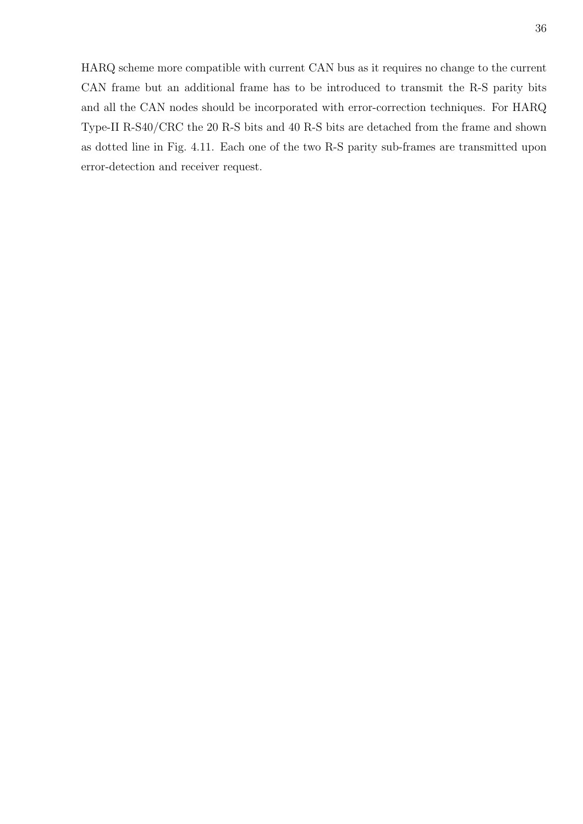36

HARQ scheme more compatible with current CAN bus as it requires no change to the current CAN frame but an additional frame has to be introduced to transmit the R-S parity bits and all the CAN nodes should be incorporated with error-correction techniques. For HARQ Type-II R-S40/CRC the 20 R-S bits and 40 R-S bits are detached from the frame and shown as dotted line in Fig. 4.11. Each one of the two R-S parity sub-frames are transmitted upon error-detection and receiver request.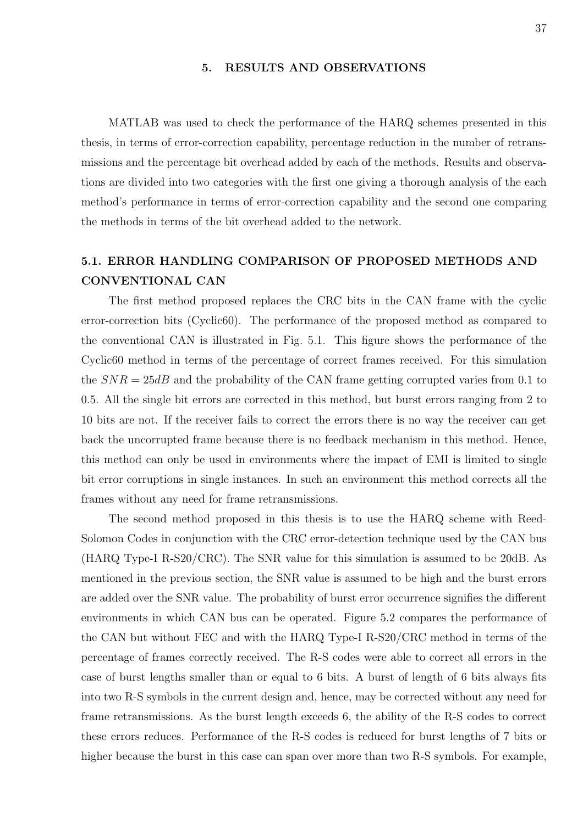#### 5. RESULTS AND OBSERVATIONS

MATLAB was used to check the performance of the HARQ schemes presented in this thesis, in terms of error-correction capability, percentage reduction in the number of retransmissions and the percentage bit overhead added by each of the methods. Results and observations are divided into two categories with the first one giving a thorough analysis of the each method's performance in terms of error-correction capability and the second one comparing the methods in terms of the bit overhead added to the network.

### 5.1. ERROR HANDLING COMPARISON OF PROPOSED METHODS AND CONVENTIONAL CAN

The first method proposed replaces the CRC bits in the CAN frame with the cyclic error-correction bits (Cyclic60). The performance of the proposed method as compared to the conventional CAN is illustrated in Fig. 5.1. This figure shows the performance of the Cyclic60 method in terms of the percentage of correct frames received. For this simulation the  $SNR = 25dB$  and the probability of the CAN frame getting corrupted varies from 0.1 to 0.5. All the single bit errors are corrected in this method, but burst errors ranging from 2 to 10 bits are not. If the receiver fails to correct the errors there is no way the receiver can get back the uncorrupted frame because there is no feedback mechanism in this method. Hence, this method can only be used in environments where the impact of EMI is limited to single bit error corruptions in single instances. In such an environment this method corrects all the frames without any need for frame retransmissions.

The second method proposed in this thesis is to use the HARQ scheme with Reed-Solomon Codes in conjunction with the CRC error-detection technique used by the CAN bus (HARQ Type-I R-S20/CRC). The SNR value for this simulation is assumed to be 20dB. As mentioned in the previous section, the SNR value is assumed to be high and the burst errors are added over the SNR value. The probability of burst error occurrence signifies the different environments in which CAN bus can be operated. Figure 5.2 compares the performance of the CAN but without FEC and with the HARQ Type-I R-S20/CRC method in terms of the percentage of frames correctly received. The R-S codes were able to correct all errors in the case of burst lengths smaller than or equal to 6 bits. A burst of length of 6 bits always fits into two R-S symbols in the current design and, hence, may be corrected without any need for frame retransmissions. As the burst length exceeds 6, the ability of the R-S codes to correct these errors reduces. Performance of the R-S codes is reduced for burst lengths of 7 bits or higher because the burst in this case can span over more than two R-S symbols. For example,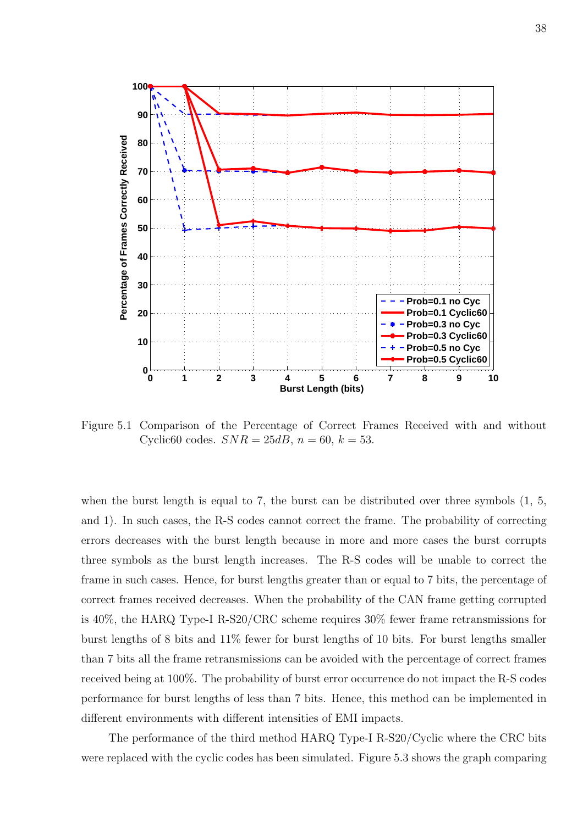

Figure 5.1 Comparison of the Percentage of Correct Frames Received with and without Cyclic60 codes.  $SNR = 25dB$ ,  $n = 60$ ,  $k = 53$ .

when the burst length is equal to 7, the burst can be distributed over three symbols (1, 5, and 1). In such cases, the R-S codes cannot correct the frame. The probability of correcting errors decreases with the burst length because in more and more cases the burst corrupts three symbols as the burst length increases. The R-S codes will be unable to correct the frame in such cases. Hence, for burst lengths greater than or equal to 7 bits, the percentage of correct frames received decreases. When the probability of the CAN frame getting corrupted is 40%, the HARQ Type-I R-S20/CRC scheme requires 30% fewer frame retransmissions for burst lengths of 8 bits and 11% fewer for burst lengths of 10 bits. For burst lengths smaller than 7 bits all the frame retransmissions can be avoided with the percentage of correct frames received being at 100%. The probability of burst error occurrence do not impact the R-S codes performance for burst lengths of less than 7 bits. Hence, this method can be implemented in different environments with different intensities of EMI impacts.

The performance of the third method HARQ Type-I R-S20/Cyclic where the CRC bits were replaced with the cyclic codes has been simulated. Figure 5.3 shows the graph comparing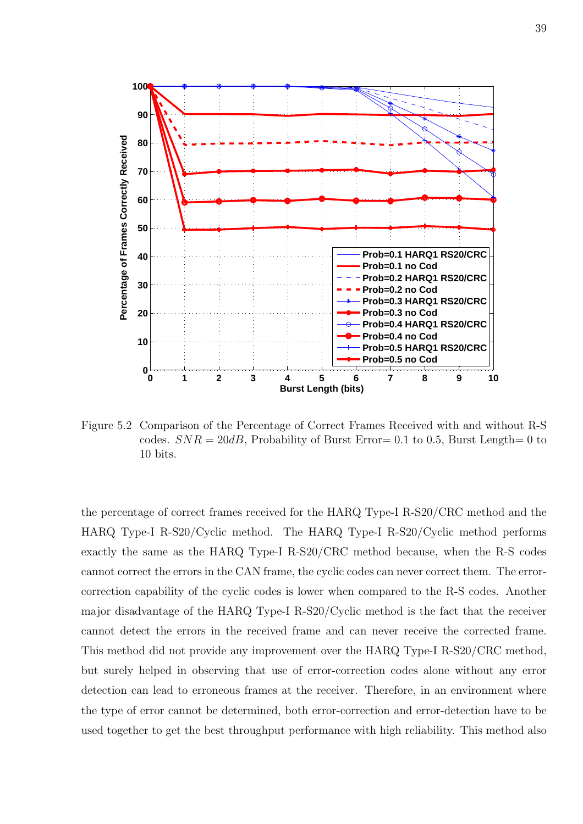

Figure 5.2 Comparison of the Percentage of Correct Frames Received with and without R-S codes.  $SNR = 20dB$ , Probability of Burst Error = 0.1 to 0.5, Burst Length= 0 to 10 bits.

the percentage of correct frames received for the HARQ Type-I R-S20/CRC method and the HARQ Type-I R-S20/Cyclic method. The HARQ Type-I R-S20/Cyclic method performs exactly the same as the HARQ Type-I R-S20/CRC method because, when the R-S codes cannot correct the errors in the CAN frame, the cyclic codes can never correct them. The errorcorrection capability of the cyclic codes is lower when compared to the R-S codes. Another major disadvantage of the HARQ Type-I R-S20/Cyclic method is the fact that the receiver cannot detect the errors in the received frame and can never receive the corrected frame. This method did not provide any improvement over the HARQ Type-I R-S20/CRC method, but surely helped in observing that use of error-correction codes alone without any error detection can lead to erroneous frames at the receiver. Therefore, in an environment where the type of error cannot be determined, both error-correction and error-detection have to be used together to get the best throughput performance with high reliability. This method also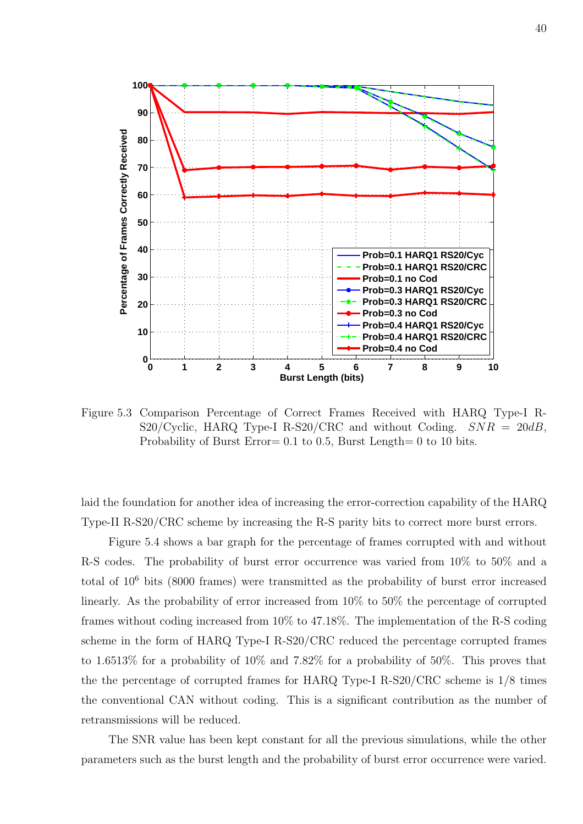

Figure 5.3 Comparison Percentage of Correct Frames Received with HARQ Type-I R- $S20/Cyclic$ , HARQ Type-I R-S20/CRC and without Coding.  $SNR = 20dB$ , Probability of Burst Error = 0.1 to 0.5, Burst Length = 0 to 10 bits.

laid the foundation for another idea of increasing the error-correction capability of the HARQ Type-II R-S20/CRC scheme by increasing the R-S parity bits to correct more burst errors.

Figure 5.4 shows a bar graph for the percentage of frames corrupted with and without R-S codes. The probability of burst error occurrence was varied from 10% to 50% and a total of 10<sup>6</sup> bits (8000 frames) were transmitted as the probability of burst error increased linearly. As the probability of error increased from 10% to 50% the percentage of corrupted frames without coding increased from 10% to 47.18%. The implementation of the R-S coding scheme in the form of HARQ Type-I R-S20/CRC reduced the percentage corrupted frames to 1.6513% for a probability of 10% and 7.82% for a probability of 50%. This proves that the the percentage of corrupted frames for HARQ Type-I R-S20/CRC scheme is 1/8 times the conventional CAN without coding. This is a significant contribution as the number of retransmissions will be reduced.

The SNR value has been kept constant for all the previous simulations, while the other parameters such as the burst length and the probability of burst error occurrence were varied.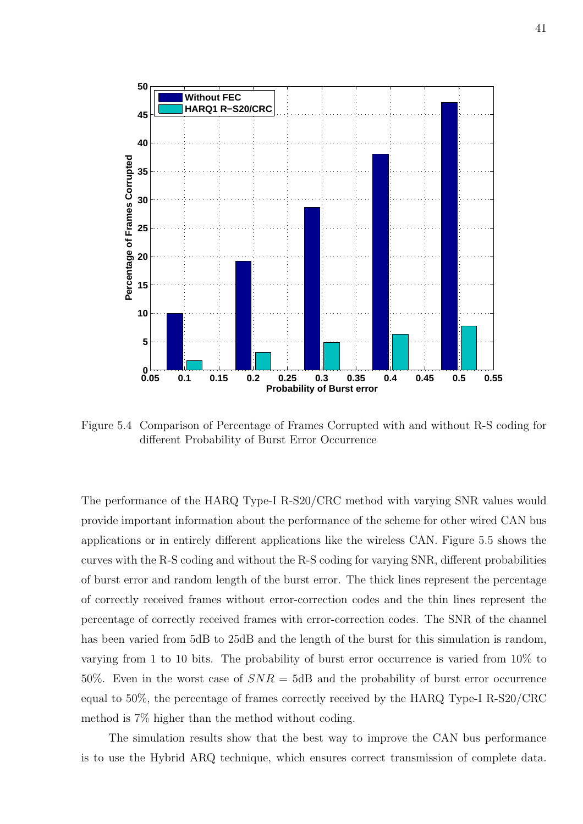

Figure 5.4 Comparison of Percentage of Frames Corrupted with and without R-S coding for different Probability of Burst Error Occurrence

The performance of the HARQ Type-I R-S20/CRC method with varying SNR values would provide important information about the performance of the scheme for other wired CAN bus applications or in entirely different applications like the wireless CAN. Figure 5.5 shows the curves with the R-S coding and without the R-S coding for varying SNR, different probabilities of burst error and random length of the burst error. The thick lines represent the percentage of correctly received frames without error-correction codes and the thin lines represent the percentage of correctly received frames with error-correction codes. The SNR of the channel has been varied from 5dB to 25dB and the length of the burst for this simulation is random, varying from 1 to 10 bits. The probability of burst error occurrence is varied from 10% to 50%. Even in the worst case of  $SNR = 5dB$  and the probability of burst error occurrence equal to 50%, the percentage of frames correctly received by the HARQ Type-I R-S20/CRC method is 7% higher than the method without coding.

The simulation results show that the best way to improve the CAN bus performance is to use the Hybrid ARQ technique, which ensures correct transmission of complete data.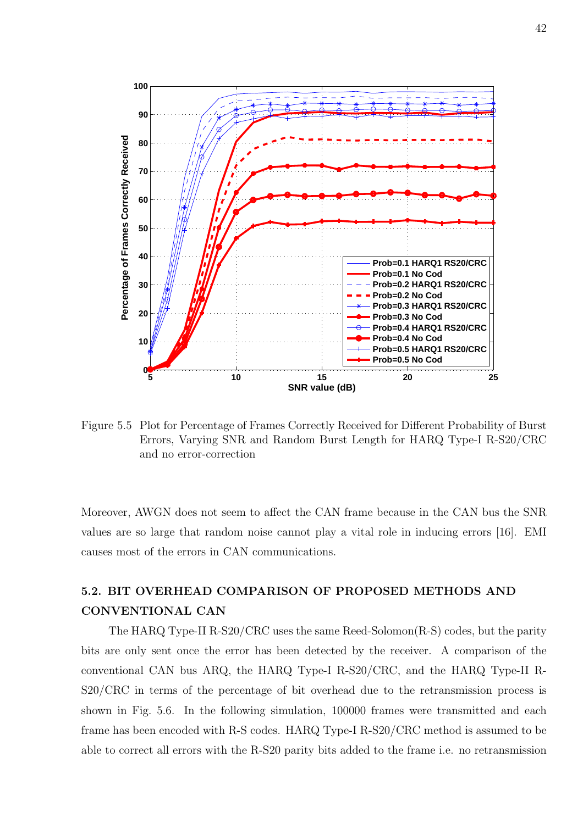

Figure 5.5 Plot for Percentage of Frames Correctly Received for Different Probability of Burst Errors, Varying SNR and Random Burst Length for HARQ Type-I R-S20/CRC and no error-correction

Moreover, AWGN does not seem to affect the CAN frame because in the CAN bus the SNR values are so large that random noise cannot play a vital role in inducing errors [16]. EMI causes most of the errors in CAN communications.

### 5.2. BIT OVERHEAD COMPARISON OF PROPOSED METHODS AND CONVENTIONAL CAN

The HARQ Type-II R-S20/CRC uses the same Reed-Solomon(R-S) codes, but the parity bits are only sent once the error has been detected by the receiver. A comparison of the conventional CAN bus ARQ, the HARQ Type-I R-S20/CRC, and the HARQ Type-II R-S20/CRC in terms of the percentage of bit overhead due to the retransmission process is shown in Fig. 5.6. In the following simulation, 100000 frames were transmitted and each frame has been encoded with R-S codes. HARQ Type-I R-S20/CRC method is assumed to be able to correct all errors with the R-S20 parity bits added to the frame i.e. no retransmission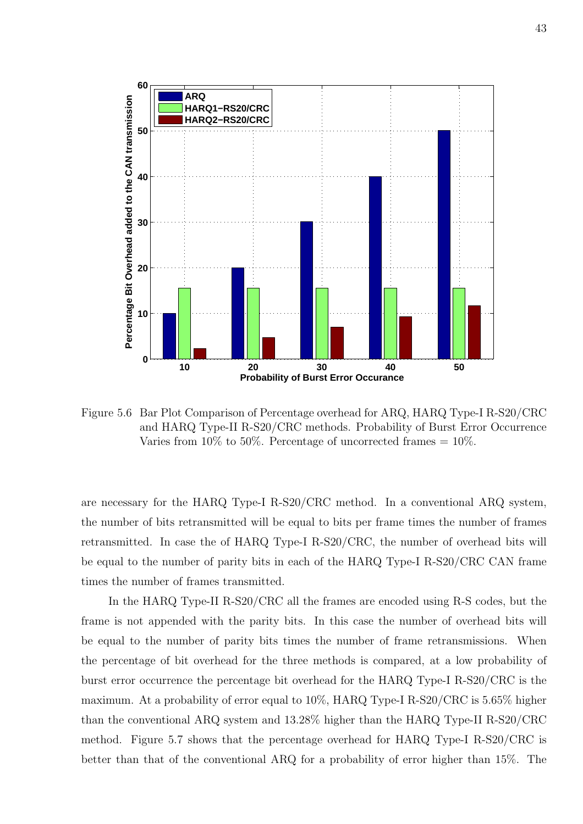

Figure 5.6 Bar Plot Comparison of Percentage overhead for ARQ, HARQ Type-I R-S20/CRC and HARQ Type-II R-S20/CRC methods. Probability of Burst Error Occurrence Varies from 10% to 50%. Percentage of uncorrected frames  $= 10\%$ .

are necessary for the HARQ Type-I R-S20/CRC method. In a conventional ARQ system, the number of bits retransmitted will be equal to bits per frame times the number of frames retransmitted. In case the of HARQ Type-I R-S20/CRC, the number of overhead bits will be equal to the number of parity bits in each of the HARQ Type-I R-S20/CRC CAN frame times the number of frames transmitted.

In the HARQ Type-II R-S20/CRC all the frames are encoded using R-S codes, but the frame is not appended with the parity bits. In this case the number of overhead bits will be equal to the number of parity bits times the number of frame retransmissions. When the percentage of bit overhead for the three methods is compared, at a low probability of burst error occurrence the percentage bit overhead for the HARQ Type-I R-S20/CRC is the maximum. At a probability of error equal to 10%, HARQ Type-I R-S20/CRC is 5.65% higher than the conventional ARQ system and 13.28% higher than the HARQ Type-II R-S20/CRC method. Figure 5.7 shows that the percentage overhead for HARQ Type-I R-S20/CRC is better than that of the conventional ARQ for a probability of error higher than 15%. The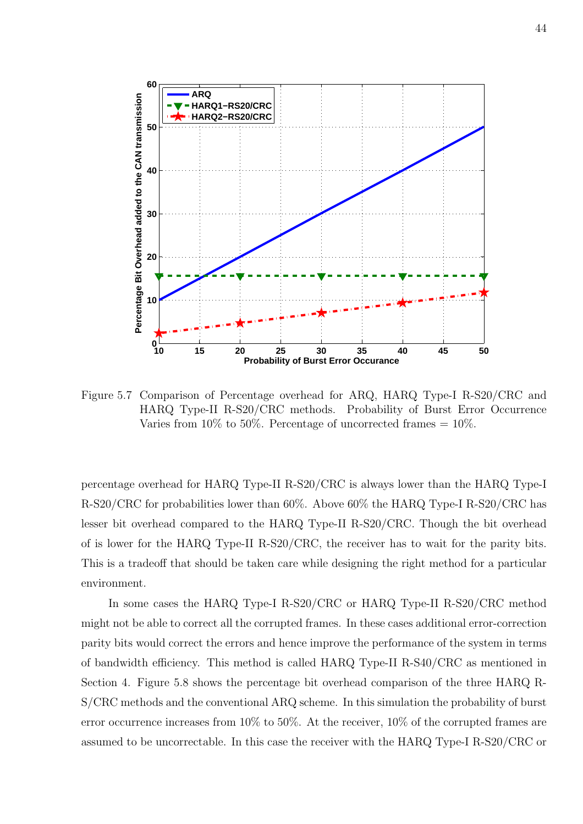

Figure 5.7 Comparison of Percentage overhead for ARQ, HARQ Type-I R-S20/CRC and HARQ Type-II R-S20/CRC methods. Probability of Burst Error Occurrence Varies from 10% to 50%. Percentage of uncorrected frames  $= 10\%$ .

percentage overhead for HARQ Type-II R-S20/CRC is always lower than the HARQ Type-I R-S20/CRC for probabilities lower than 60%. Above 60% the HARQ Type-I R-S20/CRC has lesser bit overhead compared to the HARQ Type-II R-S20/CRC. Though the bit overhead of is lower for the HARQ Type-II R-S20/CRC, the receiver has to wait for the parity bits. This is a tradeoff that should be taken care while designing the right method for a particular environment.

In some cases the HARQ Type-I R-S20/CRC or HARQ Type-II R-S20/CRC method might not be able to correct all the corrupted frames. In these cases additional error-correction parity bits would correct the errors and hence improve the performance of the system in terms of bandwidth efficiency. This method is called HARQ Type-II R-S40/CRC as mentioned in Section 4. Figure 5.8 shows the percentage bit overhead comparison of the three HARQ R-S/CRC methods and the conventional ARQ scheme. In this simulation the probability of burst error occurrence increases from 10% to 50%. At the receiver, 10% of the corrupted frames are assumed to be uncorrectable. In this case the receiver with the HARQ Type-I R-S20/CRC or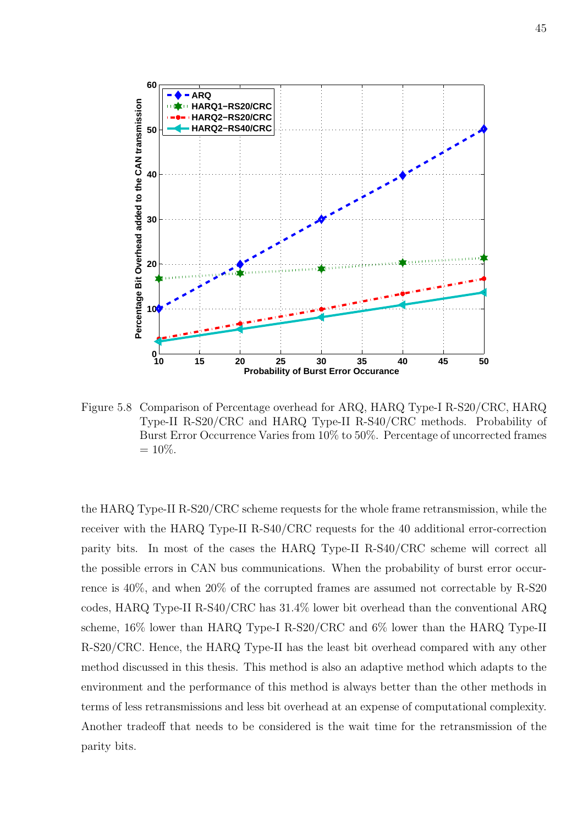

Figure 5.8 Comparison of Percentage overhead for ARQ, HARQ Type-I R-S20/CRC, HARQ Type-II R-S20/CRC and HARQ Type-II R-S40/CRC methods. Probability of Burst Error Occurrence Varies from 10% to 50%. Percentage of uncorrected frames  $= 10\%$ .

the HARQ Type-II R-S20/CRC scheme requests for the whole frame retransmission, while the receiver with the HARQ Type-II R-S40/CRC requests for the 40 additional error-correction parity bits. In most of the cases the HARQ Type-II R-S40/CRC scheme will correct all the possible errors in CAN bus communications. When the probability of burst error occurrence is 40%, and when 20% of the corrupted frames are assumed not correctable by R-S20 codes, HARQ Type-II R-S40/CRC has 31.4% lower bit overhead than the conventional ARQ scheme, 16% lower than HARQ Type-I R-S20/CRC and 6% lower than the HARQ Type-II R-S20/CRC. Hence, the HARQ Type-II has the least bit overhead compared with any other method discussed in this thesis. This method is also an adaptive method which adapts to the environment and the performance of this method is always better than the other methods in terms of less retransmissions and less bit overhead at an expense of computational complexity. Another tradeoff that needs to be considered is the wait time for the retransmission of the parity bits.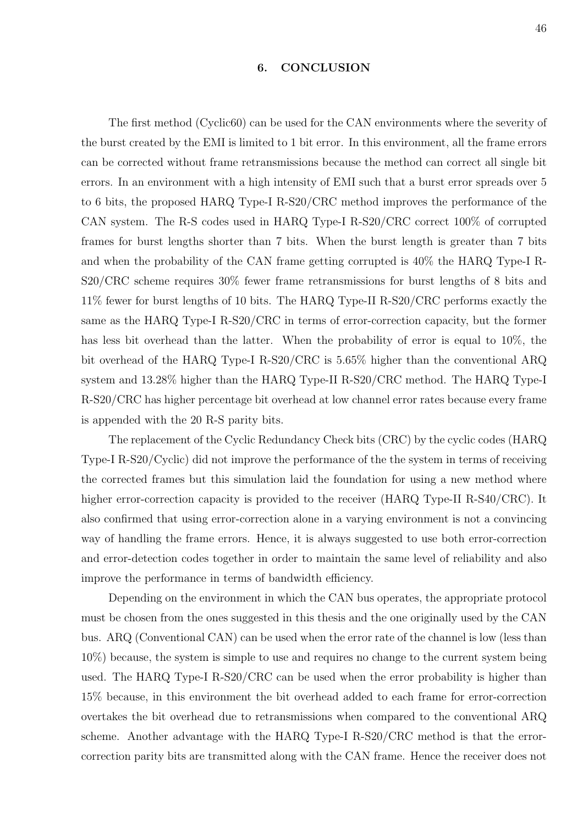#### 6. CONCLUSION

The first method (Cyclic60) can be used for the CAN environments where the severity of the burst created by the EMI is limited to 1 bit error. In this environment, all the frame errors can be corrected without frame retransmissions because the method can correct all single bit errors. In an environment with a high intensity of EMI such that a burst error spreads over 5 to 6 bits, the proposed HARQ Type-I R-S20/CRC method improves the performance of the CAN system. The R-S codes used in HARQ Type-I R-S20/CRC correct 100% of corrupted frames for burst lengths shorter than 7 bits. When the burst length is greater than 7 bits and when the probability of the CAN frame getting corrupted is 40% the HARQ Type-I R-S20/CRC scheme requires 30% fewer frame retransmissions for burst lengths of 8 bits and 11% fewer for burst lengths of 10 bits. The HARQ Type-II R-S20/CRC performs exactly the same as the HARQ Type-I R-S20/CRC in terms of error-correction capacity, but the former has less bit overhead than the latter. When the probability of error is equal to  $10\%$ , the bit overhead of the HARQ Type-I R-S20/CRC is 5.65% higher than the conventional ARQ system and 13.28% higher than the HARQ Type-II R-S20/CRC method. The HARQ Type-I R-S20/CRC has higher percentage bit overhead at low channel error rates because every frame is appended with the 20 R-S parity bits.

The replacement of the Cyclic Redundancy Check bits (CRC) by the cyclic codes (HARQ Type-I R-S20/Cyclic) did not improve the performance of the the system in terms of receiving the corrected frames but this simulation laid the foundation for using a new method where higher error-correction capacity is provided to the receiver (HARQ Type-II R-S40/CRC). It also confirmed that using error-correction alone in a varying environment is not a convincing way of handling the frame errors. Hence, it is always suggested to use both error-correction and error-detection codes together in order to maintain the same level of reliability and also improve the performance in terms of bandwidth efficiency.

Depending on the environment in which the CAN bus operates, the appropriate protocol must be chosen from the ones suggested in this thesis and the one originally used by the CAN bus. ARQ (Conventional CAN) can be used when the error rate of the channel is low (less than 10%) because, the system is simple to use and requires no change to the current system being used. The HARQ Type-I R-S20/CRC can be used when the error probability is higher than 15% because, in this environment the bit overhead added to each frame for error-correction overtakes the bit overhead due to retransmissions when compared to the conventional ARQ scheme. Another advantage with the HARQ Type-I R-S20/CRC method is that the errorcorrection parity bits are transmitted along with the CAN frame. Hence the receiver does not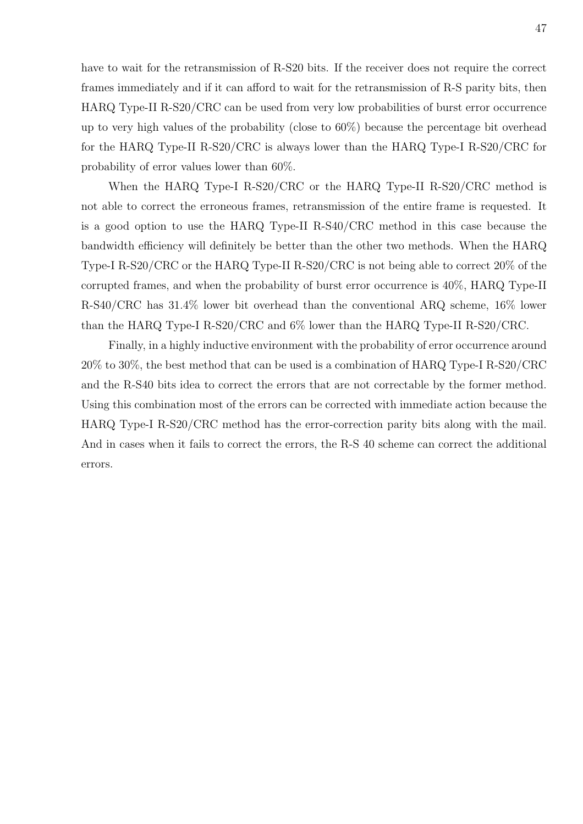have to wait for the retransmission of R-S20 bits. If the receiver does not require the correct frames immediately and if it can afford to wait for the retransmission of R-S parity bits, then HARQ Type-II R-S20/CRC can be used from very low probabilities of burst error occurrence up to very high values of the probability (close to 60%) because the percentage bit overhead for the HARQ Type-II R-S20/CRC is always lower than the HARQ Type-I R-S20/CRC for probability of error values lower than 60%.

When the HARQ Type-I R-S20/CRC or the HARQ Type-II R-S20/CRC method is not able to correct the erroneous frames, retransmission of the entire frame is requested. It is a good option to use the HARQ Type-II R-S40/CRC method in this case because the bandwidth efficiency will definitely be better than the other two methods. When the HARQ Type-I R-S20/CRC or the HARQ Type-II R-S20/CRC is not being able to correct 20% of the corrupted frames, and when the probability of burst error occurrence is 40%, HARQ Type-II R-S40/CRC has 31.4% lower bit overhead than the conventional ARQ scheme, 16% lower than the HARQ Type-I R-S20/CRC and 6% lower than the HARQ Type-II R-S20/CRC.

Finally, in a highly inductive environment with the probability of error occurrence around 20% to 30%, the best method that can be used is a combination of HARQ Type-I R-S20/CRC and the R-S40 bits idea to correct the errors that are not correctable by the former method. Using this combination most of the errors can be corrected with immediate action because the HARQ Type-I R-S20/CRC method has the error-correction parity bits along with the mail. And in cases when it fails to correct the errors, the R-S 40 scheme can correct the additional errors.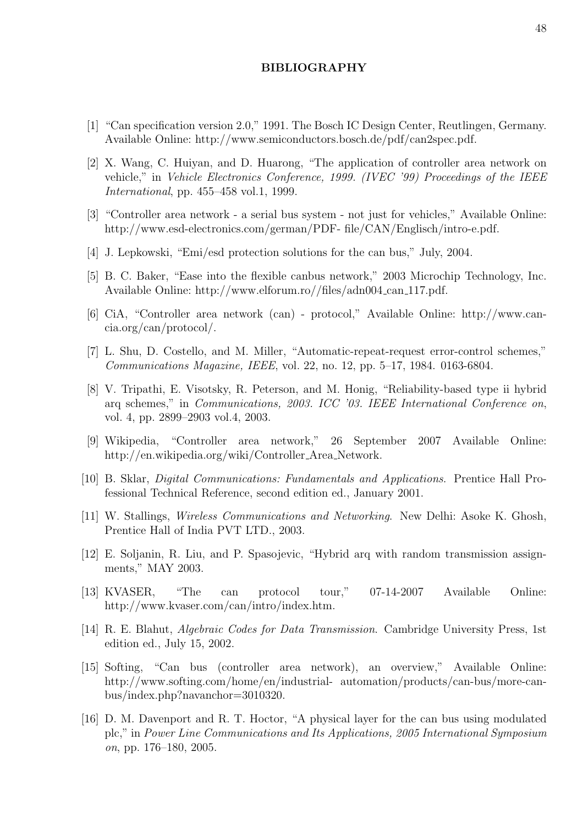#### BIBLIOGRAPHY

- [1] "Can specification version 2.0," 1991. The Bosch IC Design Center, Reutlingen, Germany. Available Online: http://www.semiconductors.bosch.de/pdf/can2spec.pdf.
- [2] X. Wang, C. Huiyan, and D. Huarong, "The application of controller area network on vehicle," in Vehicle Electronics Conference, 1999. (IVEC '99) Proceedings of the IEEE International, pp. 455–458 vol.1, 1999.
- [3] "Controller area network a serial bus system not just for vehicles," Available Online: http://www.esd-electronics.com/german/PDF- file/CAN/Englisch/intro-e.pdf.
- [4] J. Lepkowski, "Emi/esd protection solutions for the can bus," July, 2004.
- [5] B. C. Baker, "Ease into the flexible canbus network," 2003 Microchip Technology, Inc. Available Online: http://www.elforum.ro//files/adn004 can 117.pdf.
- [6] CiA, "Controller area network (can) protocol," Available Online: http://www.cancia.org/can/protocol/.
- [7] L. Shu, D. Costello, and M. Miller, "Automatic-repeat-request error-control schemes," Communications Magazine, IEEE, vol. 22, no. 12, pp. 5–17, 1984. 0163-6804.
- [8] V. Tripathi, E. Visotsky, R. Peterson, and M. Honig, "Reliability-based type ii hybrid arq schemes," in Communications, 2003. ICC '03. IEEE International Conference on, vol. 4, pp. 2899–2903 vol.4, 2003.
- [9] Wikipedia, "Controller area network," 26 September 2007 Available Online: http://en.wikipedia.org/wiki/Controller Area Network.
- [10] B. Sklar, Digital Communications: Fundamentals and Applications. Prentice Hall Professional Technical Reference, second edition ed., January 2001.
- [11] W. Stallings, Wireless Communications and Networking. New Delhi: Asoke K. Ghosh, Prentice Hall of India PVT LTD., 2003.
- [12] E. Soljanin, R. Liu, and P. Spasojevic, "Hybrid arq with random transmission assignments," MAY 2003.
- [13] KVASER, "The can protocol tour," 07-14-2007 Available Online: http://www.kvaser.com/can/intro/index.htm.
- [14] R. E. Blahut, Algebraic Codes for Data Transmission. Cambridge University Press, 1st edition ed., July 15, 2002.
- [15] Softing, "Can bus (controller area network), an overview," Available Online: http://www.softing.com/home/en/industrial- automation/products/can-bus/more-canbus/index.php?navanchor=3010320.
- [16] D. M. Davenport and R. T. Hoctor, "A physical layer for the can bus using modulated plc," in Power Line Communications and Its Applications, 2005 International Symposium on, pp. 176–180, 2005.